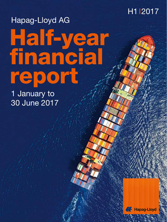

# Half-year financial report Hapag-Lloyd AG

1 January to 30 June 2017

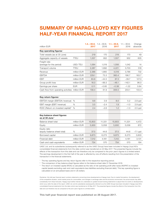# **SUMMARY OF HAPAG-LLOYD KEY FIGURES HALF-YEAR FINANCIAL REPORT 2017**

| million EUR                                             |             | $1.4 - 30.6$ , $1.4 - 30.6$ .<br>2017 | 2016    | $1.1 - 30.6$<br>2017 | $1.1 - 30.6$<br>2016 | Change<br>absolute |
|---------------------------------------------------------|-------------|---------------------------------------|---------|----------------------|----------------------|--------------------|
| Key operating figures <sup>1</sup>                      |             |                                       |         |                      |                      |                    |
| Totel vessels (as at 30 June)                           |             | 219                                   | 170     | 219                  | 170                  | 49                 |
| Aggregate capacity of vessels                           | <b>TTEU</b> | 1,557                                 | 952     | 1,557                | 952                  | 605                |
| Freight rate<br>(average for the period)                | USD/TEU     | 1,064                                 | 1,019   | 1,056                | 1,042                | 14                 |
| Transport volume                                        | <b>TTEU</b> | 2,287                                 | 1,892   | 4,221                | 3,703                | 518                |
| Revenue                                                 | million EUR | 2,386                                 | 1,860   | 4,518                | 3,786                | 732                |
| <b>EBITDA</b>                                           | million EUR | 229.1                                 | 73.3    | 360.4                | 196.7                | 163.7              |
| <b>EBIT</b>                                             | million EUR | 83.8                                  | $-44.5$ | 87.3                 | $-39.7$              | 127.0              |
| Group profit/loss                                       | million EUR | 16.0                                  | $-99.3$ | $-46.1$              | $-142.1$             | 96.0               |
| Earnings per share                                      | <b>EUR</b>  | 0.11                                  | $-0.85$ | $-0.38$              | $-1.22$              | 0.84               |
| Cash flow from operating activities million EUR         |             | 158.4                                 | 61.9    | 306.5                | 203.1                | 103.4              |
| Key return figures <sup>1</sup>                         |             |                                       |         |                      |                      |                    |
| EBITDA margin (EBITDA/revenue)                          | $\%$        | 9.6                                   | 3.9     | 8.0                  | 5.2                  | $2.8$ ppt          |
| EBIT margin (EBIT/revenue)                              | $\%$        | 3.5                                   | $-2.4$  | 1.9                  | $-1.0$               | 2.9 ppt            |
| ROIC (Return on invested capital) <sup>3</sup>          | %           | 2.4                                   | $-2.6$  | 1.2                  | $-1.3$               | $2.5$ ppt          |
| Key balance sheet figures<br>as at 30 June <sup>2</sup> |             |                                       |         |                      |                      |                    |
| Balance sheet total                                     | million EUR | 15,803                                | 11,331  | 15,803               | 11,331               | 4,472              |
| Equity                                                  | million EUR | 5,930                                 | 5,058   | 5,930                | 5,058                | 872                |
| Equity ratio<br>(equity/balance sheet total)            | $\%$        | 37.5                                  | 44.6    | 37.5                 | 44.6                 | $-7.1$ ppt         |
| Borrowed capital                                        | million EUR | 9,873                                 | 6,273   | 9,873                | 6,273                | 3,600              |
| Financial debt                                          | million EUR | 7,312                                 | 4,181   | 7,312                | 4,181                | 3,131              |
| Cash and cash equivalents                               | million EUR | 754                                   | 570     | 754                  | 570                  | 184                |

UASC Ltd. and its subsidiaries (subsequently referred to as the UASC Group) have been included in Hapag-Lloyd AG's consolidated financial statements from the date control was transferred on 24 May 2017. The presented figures include the effects of the transaction from this date and can therefore only be compared to the prior year's figures to a limited extent. The earnings development in the first half of the year is affected by one-off effects resulting from the presentation of the transaction in the financial statements.

<sup>1</sup> The key operating figures and key return figures refer to the respective reporting period.

<sup>2</sup> The comparison of key balance sheet figures refers to the balance sheet date 31 December 2016.

<sup>3</sup> The return on invested capital (ROIC) is calculated as the ratio of net operating profit after taxes (NOPAT) to invested capital (assets excluding cash and cash equivalents less liabilities excluding financial debt). This key operating figure is calculated on an annualised basis and in US dollars.

Disclaimer: this half-year financial report contains statements concerning future developments at Hapag-Lloyd. Due to market fluctuations, the development of the competitive situation, world market prices for commodities, and changes in exchange rates and the economic environment, the actual results may differ considerably from these forecasts. Hapag-Lloyd neither intends nor undertakes to update forward-looking statements to adjust them for events or developments which occur after the date of this report. UASC Ltd. and its subsidiaries (subsequently referred to as the UASC Group) have been included in Hapag-Lloyd AG's consolidated financial statements from the date control was transferred on 24 May 2017. The presented figures include the effects of the transaction from this date and can therefore only be compared to the prior year's figures to a limited extent.

**This half-year financial report was published on 29 August 2017.**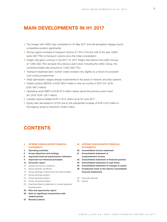# **MAIN DEVELOPMENTS IN H1 2017**

- The merger with UASC was completed on 24 May 2017 and will strengthen Hapag-Lloyd's competitive position significantly
- Strong organic increase in transport volume of 7.3% in the first half of the year. UASC adds 248 TTEU of transport volume since the initial consolidation
- Freight rate gains continue in Q2 2017. H1 2017 freight rate (without the UASC Group) of 1,068 USD/ TEU exceeds the previous year's level. Including the UASC Group, the combined freight rate amounts to 1,056 USD/ TEU
- Transport expenses (excl. bunker costs) increase only slightly as a result of successful cost-cutting programmes
- Initial optimisation stages already implemented in the areas of network and ship systems
- Clearly positive EBITDA of EUR 360.4 million in first six months of 2017 (H1 2016: EUR 196.7 million)
- Operating result (EBIT) of EUR 87.3 million clearly above the previous year's level (H1 2016: EUR –39.7 million)
- Liquidity reserve totalled EUR 1,157.0 million as at 30 June 2017
- Equity ratio decreased to 37.5% due to the substantial increase of EUR 4,472 million in the balance sheet to total EUR 15,803 million

# **CONTENTS**

- **4 INTERIM CONSOLIDATED FINANCIAL STATEMENTS**
- **4 Operating activities**
- **5 Group objectives and strategy**
- **8 Important financial performance indicators**
- **9 Important non-financial principles**
- **12 Economic report**
- 12 General economic conditions
- 12 Sector-specific conditions
- 15 Group earnings, financial and net asset position
- 15 Group earnings position
- 21 Group financial position
- 23 Group net asset position
- 25 Executive Board's statement on overall expected developments
- **25 Risk and opportunity report**
- **26 Note on significant transactions with related parties**
- **27 Revised outlook**

## **30 INTERIM CONSOLIDATED FINANCIAL STATEMENTS**

- **30 Consolidated income statement**
- **31 Consolidated statement of comprehensive income**
- **32 Consolidated statement of financial position**
- **34 Consolidated statement of cash flows**
- **36 Consolidated statement of changes in equity**
- **38 Condensed notes to the interim consolidated financial statements**
- 58 Financial calendar
- 59 Imprint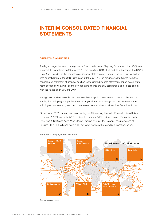# **INTERIM CONSOLIDATED FINANCIAL STATEMENTS**

## **OPERATING ACTIVITIES**

The legal merger between Hapag-Lloyd AG and United Arab Shipping Company Ltd. (UASC) was successfully completed on 24 May 2017. From this date, UASC Ltd. and its subsidiaries (the UASC Group) are included in the consolidated financial statements of Hapag-Lloyd AG. Due to the firsttime consolidation of the UASC Group as at 24 May 2017, the previous year's figures from the consolidated statement of financial position, consolidated income statement, consolidated statement of cash flows as well as the key operating figures are only comparable to a limited extent with the values as at 30 June 2017.

Hapag-Lloyd is Germany's largest container liner shipping company and is one of the world's leading liner shipping companies in terms of global market coverage. Its core business is the shipping of containers by sea, but it can also encompass transport services from door to door.

Since 1 April 2017, Hapag-Lloyd is operating the Alliance together with Kawasaki Kisen Kaisha Ltd. (Japan) ("K" Line), Mitsui O.S.K. Lines Ltd. (Japan) (MOL), Nippon Yusen Kabushiki Kaisha Ltd. (Japan) (NYK) and Yang Ming Marine Transport Corp. Ltd. (Taiwan) (Yang Ming). As at 30 June 2017, THE Alliance covers all East-West trades with around 564 container ships.



**Network of Hapag-Lloyd services**

Source: company data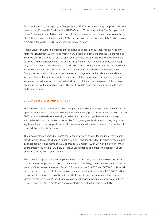As at 30 June 2017, Hapag-Lloyd's fleet (including UASC's container ships) comprises 219 container ships (30 June 2016, without the UASC Group: 170 container ships). The Group currently has 436 sales offices in 126 countries and offers its customers worldwide access to a network of 129 liner services. In the first half of 2017, Hapag-Lloyd served approximately 26,200 customers around the world (UASC Group included for six months).

Hapag-Lloyd conducts its container liner shipping business in an international business environment. Transactions are invoiced mainly in US dollars and payment procedures are handled in US dollars. This relates not only to operating business transactions, but also to investment activities and the corresponding financing of investments. The functional currency of Hapag-Lloyd AG and its main subsidiaries is the US dollar. The reporting currency of Hapag-Lloyd AG is, however, the euro. For reporting purposes, the assets and liabilities of the Hapag-Lloyd Group are translated into euros using the mean exchange rate on the balance sheet date (closing rate). The cash flows listed in the consolidated statement of cash flows and the expenses, income and result shown in the consolidated income statement are translated at the average exchange rate for the reporting period. The resulting differences are recognised in other comprehensive income.

# **GROUP OBJECTIVES AND STRATEGY**

The prime objective of the Hapag-Lloyd Group is to achieve long-term profitable growth. Developments in the Group's transport volume and the operating performance indicators EBITDA and EBIT serve as the basis for measuring whether the corporate objectives are met. Hapag-Lloyd aims to benefit from the market opportunities for organic growth while also strategically protecting its leading competitive position by utilising measures to increase its value in the context of consolidation within the industry.

The growing global demand for container transportation is the very foundation of the organic growth which Hapag-Lloyd hopes to achieve. IHS Global Insight (May 2017) has forecast a rise in global container shipments of 4.6% to around 139 million TEU in 2017 and a further 4.9% to approximately 146 million TEU in 2018. Hapag-Lloyd intends to increase the transport volume organically in line with market growth.

Five strategic projects have been implemented in the last few years to improve efficiency and cost structures. Hapag-Lloyd's aim is to improve its profitability, based on the increasing effectiveness of the strategic measures. From 2017 onwards, the CUATRO and OCTAVE projects will deliver annual synergies, efficiency improvements and cost savings totalling USD 600.0 million as against the comparable cost base in the 2014 financial year and assuming that external factors remain the same. Planned synergies and cost-saving programmes associated with the CUATRO and OCTAVE projects were implemented in full in the first quarter of 2017.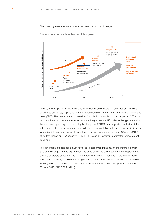The following measures were taken to achieve the profitability targets:



**Our way forward: sustainable profitable growth**

The key internal performance indicators for the Company's operating activities are earnings before interest, taxes, depreciation and amortisation (EBITDA) and earnings before interest and taxes (EBIT). The performance of these key financial indicators is outlined on page 15. The main factors influencing these are transport volume, freight rate, the US dollar exchange rate against the euro, and operating costs including bunker price. EBITDA is an important indicator of the achievement of sustainable company results and gross cash flows. It has a special significance for capital-intensive companies. Hapag-Lloyd – which owns approximately 68% (incl. UASC) of its fleet (based on TEU capacity) – uses EBITDA as an important parameter for investment decisions.

The generation of sustainable cash flows, solid corporate financing, and therefore in particular a sufficient liquidity and equity base, are once again key cornerstones of the Hapag-Lloyd Group's corporate strategy in the 2017 financial year. As at 30 June 2017, the Hapag-Lloyd Group had a liquidity reserve (consisting of cash, cash equivalents and unused credit facilities) totalling EUR 1,157.0 million (31 December 2016, without the UASC Group: EUR 759.6 million;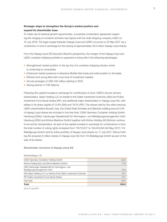# **Strategic steps to strengthen the Group's market position and expand its shareholder base**

To make use of external growth opportunities, a business combination agreement regarding the merging of container activities was signed with the Arab shipping company UASC on 15 July 2016. The legal merger between Hapag-Lloyd and UASC occurred on 24 May 2017 via a contribution in kind in exchange for the issuing of approximately 45.9 million Hapag-Lloyd shares.

From the Hapag-Lloyd AG Executive Board's perspective, the merger of the Hapag-Lloyd and UASC container shipping activities is expected to bring with it the following advantages:

- Strengthened market position in the top five of a container shipping industry which is continuing to consolidate
- Enhanced market presence in attractive Middle East trade and solid position in all trades
- Efficient and young fleet with a low level of investment needed
- Annual synergies of USD 435 million starting in 2019
- Strong partner in THE Alliance

Following the capital increase in exchange for contributions in kind, UASC's former primary shareholders, Qatar Holding LLC on behalf of the Qatar Investment Authority (QIA) and Public Investment Fund Saudi Arabia (PIF), are additional major shareholders in Hapag-Lloyd AG, with stakes in its share capital of 14.4% (QIA) and 10.1% (PIF). The shares held by the other previous UASC shareholders (Kuwait, Iraq, the United Arab Emirates and Bahrain) totalling around 3.4% of Hapag-Lloyd shares are included in the free float. CSAV Germany Container Holding GmbH, Hamburg (CSAV), Hamburger Gesellschaft für Vermögens- und Beteiligungsmanagement mbH, Hamburg (HGV) and Kühne Maritime GmbH together with Kühne Holding AG (Kühne) continue to be anchor shareholders. As part of the capital increase in exchange for contributions in kind, the total number of voting rights increased from 118,110,917 to 164,042,940 (24 May 2017). TUI Beteiligungs GmbH sold its entire portfolio of Hapag-Lloyd shares on 11 July 2017. Kühne Holding AG acquired 5 million shares in Hapag-Lloyd AG from TUI Beteiligungs GmbH as part of the sale of its shares.

#### **Shareholder structure of Hapag-Lloyd AG**

| <b>Total</b>                                                                | 100.0 |
|-----------------------------------------------------------------------------|-------|
| Free float                                                                  | 20.4  |
| PIF Public Investment Fund Saudi Arabia                                     | 10.1  |
| QIA Qatar Holding LLC on behalf of the Qatar Investment Authority           | 14.4  |
| HGV Hamburger Gesellschaft für Vermögens- und<br>Beteiligungsmanagement mbH | 14.9  |
| Kühne Holding AG und Kühne Maritime GmbH                                    | 17.6  |
| CSAV Germany Container Holding GmbH                                         | 22.6  |
|                                                                             |       |

As at 17 July 2017

Shareholdings in %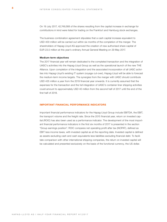On 19 July 2017, 42,749,568 of the shares resulting from the capital increase in exchange for contributions in kind were listed for trading on the Frankfurt and Hamburg stock exchanges.

The business combination agreement stipulates that a cash capital increase equivalent to USD 400 million will be carried out within six months of the completion of the merger. The shareholders of Hapag-Lloyd AG approved the creation of new authorised share capital of EUR 23.0 million at this year's ordinary Annual General Meeting on 29 May 2017.

#### **Medium-term objectives**

The 2017 financial year will remain dedicated to the completed transaction and the integration of UASC's activities into the Hapag-Lloyd Group as well as the operational launch of the new THE Alliance. Upon completion of the integration and the associated incorporation of all UASC activities into Hapag-Lloyd's existing IT system (voyage cut-over), Hapag-Lloyd will be able to forecast the medium-term income targets. The synergies from the merger with UASC should contribute USD 435 million a year from the 2019 financial year onwards. It is currently assumed that the expenses for the transaction and the full integration of UASC's container liner shipping activities could amount to approximately USD 40 million from the second half of 2017 until the end of the first half of 2018.

## **IMPORTANT FINANCIAL PERFORMANCE INDICATORS**

Important financial performance indicators for the Hapag-Lloyd Group include EBITDA, the EBIT, the transport volume and the freight rate. Since the 2015 financial year, return on invested capital (ROIC) has also been used as a performance indicator. The development of the most important financial performance indicators in the first six months of 2017 is presented in the section "Group earnings position". ROIC compares net operating profit after tax (NOPAT), defined as EBIT less income taxes, with invested capital as at the reporting date. Invested capital is defined as assets excluding cash and cash equivalents less liabilities excluding financial debt. To facilitate comparison with other international shipping companies, the return on invested capital will be calculated and presented exclusively on the basis of the functional currency, the US dollar.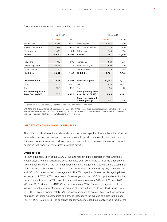#### Calculation of the return on invested capital is as follows:

|                                                         |                     | million EUR         |                                                  | million USD         |         |
|---------------------------------------------------------|---------------------|---------------------|--------------------------------------------------|---------------------|---------|
|                                                         | H <sub>1</sub> 2017 | H <sub>1</sub> 2016 |                                                  | H <sub>1</sub> 2017 | H1 2016 |
| <b>Fixed assets</b>                                     | 13,541              | 9,259               | Fixed assets                                     | 15,443              | 10,320  |
| Accounts receivable                                     | 942                 | 628                 | Accounts receivable                              | 1,075               | 700     |
| Other assets                                            | 567                 | 314                 | Other assets                                     | 646                 | 350     |
| Assets                                                  | 15,050              | 10,201              | <b>Assets</b>                                    | 17,164              | 11,370  |
| Provisions                                              | 712                 | 606                 | Provisions                                       | 812                 | 675     |
| Accounts payable                                        | 1,604               | 1,282               | Accounts payable                                 | 1,830               | 1,429   |
| Other liabilities                                       | 245                 | 220                 | Other liabilities                                | 279                 | 245     |
| <b>Liabilities</b>                                      | 2,561               | 2,108               | <b>Liabilities</b>                               | 2,921               | 2,349   |
| <b>Invested capital</b>                                 | 12,488              | 8,093               | <b>Invested capital</b>                          | 14,243              | 9,021   |
| <b>EBIT</b>                                             | 87.3                | $-39.7$             | <b>EBIT</b>                                      | 96.5                | $-44.2$ |
| Tax                                                     | 12.0                | 12.5                | Tax                                              | 13.0                | 13.9    |
| <b>Net Operating Profit</b><br><b>After Tax (NOPAT)</b> | 75.3                | $-52.2$             | <b>Net Operating Profit</b><br>After Tax (NOPAT) | 83.5                | $-58.1$ |
|                                                         |                     |                     | <b>Return on Invested</b><br>Capital (ROIC)*     | 1.2%                | $-1.3%$ |

\* Figures are in USD, rounded, aggregated and calculated on an annualised basis

UASC Ltd. and its subsidiaries will be included in Hapag-Lloyd AG's consolidated financial statements from the date control was transferred on 24 May 2017. The presented figures include the effects of the transaction from this date and can therefore only be compared to the prior year's figures to a limited extent.

#### **IMPORTANT NON-FINANCIAL PRINCIPLES**

The optimum utilisation of the available ship and container capacities has a substantial influence on whether Hapag-Lloyd achieves long-term profitable growth. Sustainable and quality-conscious corporate governance and highly qualified and motivated employees are also important principles for Hapag-Lloyd's targeted profitable growth.

# **Efficient fleet**

Following the acquisition of the UASC Group and reflecting first optimisation measurements, Hapag-Lloyd's fleet comprised 219 container ships as at 30 June 2017. All of the ships are certified in accordance with the ISM (International Safety Management) Code and have a valid ISSC (ISPS) certificate. The majority of the ships are certified as per ISO 9001 (quality management) and ISO 14001 (environmental management). The TEU capacity of the entire Hapag-Lloyd fleet increased to 1,557,013 TEU. As a result of the merger with the UASC Group, the share of ships owned outright based on TEU capacity increased to approximately 68% as at 30 June 2017 (30 June 2016, without the UASC Group: approximately 57%). The average age of the ships (capacity-weighted) was 7.1 years. The average ship size within the Hapag-Lloyd Group fleet is 7,110 TEU, which is approximately 27% above the comparable average figure for the ten largest container liner shipping companies and around 83% above the average ship size in the global fleet (H1 2017: 3,893 TEU). The container capacity also increased substantially as a result of the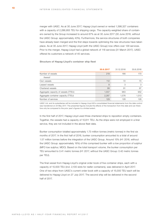merger with UASC. As at 30 June 2017, Hapag-Lloyd owned or rented 1,398,327 containers with a capacity of 2,286,955 TEU for shipping cargo. The capacity-weighted share of containers owned by the Group increased to around 67% as at 30 June 2017 (30 June 2016, without the UASC Group: approximately 43%). Furthermore, the service structures of both companies have already been merged and the first steps towards optimising the new structures have taken place. As at 30 June 2017, Hapag-Lloyd (with the UASC Group) now offers over 129 services. Prior to the merger, Hapag-Lloyd had a global network of 118 services (31 March 2017). UASC offered its customers a network of 45 services.

## **Structure of Hapag-Lloyd's container ship fleet**

|                                      | 30.6.2017 | 31.12.2016 | 30.6.2016 |
|--------------------------------------|-----------|------------|-----------|
| Number of vessels                    | 219       | 166        | 170       |
| thereof                              |           |            |           |
| Own vessels                          | 112       | 72         | 70        |
| Leased vessels                       | 8         | 3          | 3         |
| Chartered vessels                    | 99        | 91         | 97        |
| Aggregate capacity of vessels (TTEU) | 1,557     | 963        | 952       |
| Aggregate container capacity (TTEU)  | 2,287     | 1,576      | 1,513     |
| Number of services                   | 129       | 128        | 128       |

UASC Ltd. and its subsidiaries will be included in Hapag-Lloyd AG's consolidated financial statements from the date control was transferred on 24 May 2017. The presented figures include the effects of the transaction from this date and can therefore only be compared to the prior year's figures to a limited extent.

In the first half of 2017, Hapag-Lloyd used three chartered ships to reposition empty containers. Together, the vessels had a capacity of 10,611 TEU. As the ships were not employed in a liner service, they are not included in the above fleet data.

Bunker consumption totalled approximately 1.73 million tonnes (metric tonnes) in the first six months of 2017. In the first half of 2016, bunker consumption amounted to a total of around 1.57 million tonnes before the integration of the UASC Group. Around 15% (H1 2016, without the UASC Group: approximately 16%) of this comprised bunker with a low proportion of sulphur (MFO low sulphur, MDO). Based on the total transport volume, the bunker consumption per TEU amounted to 0.41 metric tonnes (H1 2017, without the UASC Group: 0.42 metric tonnes per TEU).

The final vessel from Hapag-Lloyd's original order book of five container ships, each with a capacity of 10,500 TEU (incl. 2,100 slots for reefer containers), was delivered in April 2017. One of two ships from UASC's current order book with a capacity of 15,000 TEU each will be delivered to Hapag-Lloyd on 27 July 2017. The second ship will be delivered in the second half of 2017.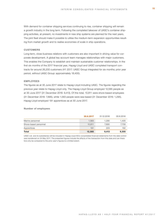With demand for container shipping services continuing to rise, container shipping will remain a growth industry in the long term. Following the completed takeover of UASC's container shipping activities, at present, no investments in new ship systems are planned for the next years. The joint fleet should make it possible to utilise the medium-term expansion opportunities resulting from market growth and to realise economies of scale in ship operations.

# **CUSTOMERS**

Long-term, close business relations with customers are also important in driving value for corporate development. A global key account team manages relationships with major customers. This enables the Company to establish and maintain sustainable customer relationships. In the first six months of the 2017 financial year, Hapag-Lloyd and UASC completed transport contracts for around 26,200 customers (H1 2017: UASC Group integrated for six months; prior year period, without UASC Group: approximately 18,400).

# **EMPLOYEES**

The figures as at 30 June 2017 relate to Hapag-Lloyd including UASC. The figures regarding the previous year relate to Hapag-Lloyd only. The Hapag-Lloyd Group employed 12,585 people as at 30 June 2017 (31 December 2016: 9,413). Of this total, 10,811 were shore-based employees (31 December 2016: 7,895), while 1,583 people were sea-based (31 December 2016: 1,295). Hapag-Lloyd employed 191 apprentices as at 30 June 2017.

#### **Number of employees**

|                       | 30.6.2017 | 31.12.2016 | 30.6.2016 |
|-----------------------|-----------|------------|-----------|
| Marine personnel      | 1.583     | 1.295      | 1.405     |
| Shore-based personnel | 10.811    | 7.895      | 7.708     |
| Apprentices           | 191       | 223        | 192       |
| <b>Total</b>          | 12,585    | 9.413      | 9.305     |

UASC Ltd. and its subsidiaries will be included in Hapag-Lloyd AG's consolidated financial statements from the date control was transferred on 24 May 2017. The presented figures include the effects of the transaction from this date and can therefore only be compared to the prior year's figures to a limited extent.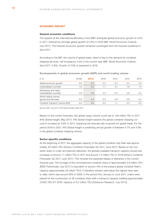# **ECONOMIC REPORT**

#### **General economic conditions**

The experts at the International Monetary Fund (IMF) anticipate global economic growth of 3.5% in 2017, followed by stronger global growth of 3.6% in 2018 (IMF, World Economic Outlook, July 2017). The forecast economic growth remained unchanged from the forecast published in April 2017.

According to the IMF, the volume of global trade, which is key to the demand for container shipping services, will increase by 4.0% in the current year (IMF, World Economic Outlook, April 2017: 3.8%). Growth of 3.9% is expected in 2018.

**Developments in global economic growth (GDP) and world trading volume**

| in $%$                                           | 2018e | 2017e | 2016 | 2015 | 2014 | 2013 |
|--------------------------------------------------|-------|-------|------|------|------|------|
| Global economic growth                           | 3.6   | 3.5   | 3.2  | 3.4  | 3.4  | 3.3  |
| Industrialised countries                         | 1.9   | 2.0   | 1.7  | 2.1  | 1.8  | 1.4  |
| Developing and newly<br>industrialised countries | 4.8   | 4.6   | 4.3  | 4.3  | 4.6  | 5.0  |
| World trading volume<br>(goods and services)     | 3.9   | 4.0   | 2.3  | 2.6  | 3.8  | 3.4  |
| Container transport volume (IHS)                 | 4.9   | 4.6   | 3.2  |      | 4.3  | 2.3  |

Source: IMF, July 2017; IHS Global Insight, May 2017

Based on the current forecasts, the global cargo volume could rise to 139 million TEU in 2017 (IHS Global Insight, May 2017). IHS Global Insight expects the global container shipping volume to increase by 4.6% in 2017, outpacing the forecast rate of growth for global trade. For the period 2018 to 2021, IHS Global Insight is predicting annual growth of between 4.7% and 4.9% in the global container shipping volume.

# **Sector-specific conditions**

At the beginning of 2017, the aggregate capacity of the global container ship fleet was approximately 20 million TEU (Drewry Container Forecaster Q2 2017, June 2017). Based on the container ships on order and planned deliveries, the globally available transport capacity should see increases of around 1.1 million TEU in 2017 and around 1.5 million TEU in 2018 (Drewry Container Forecaster Q2 2017, June 2017). This includes the expected delays of deliveries in the current financial year. The tonnage of the commissioned container ships of approximately 2.9 million TEU (MDS Transmodal, July 2017) is equivalent to around 14% of the present global container fleet's capacity (approximately 20 million TEU). It therefore remains well below the highest level seen to date, which was around 56% in 2008. In the period from January to June 2017, orders were placed for the construction of 38 container ships with a transport capacity totalling approximately 37,600 TEU (FY 2016: capacity of 0.2 million TEU [Clarksons Research, July 2017]).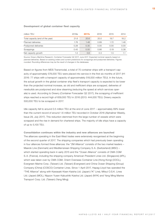# **Development of global container fleet capacity**

| million TEU                      | 2018e | 2017e | 2016 | 2015 | 2014 |
|----------------------------------|-------|-------|------|------|------|
| Total capacity (end of the year) | 21.6  | 20.6  | 20.0 | 19.7 | 18.2 |
| Planned deliveries               | 1.76  | 1.48  | 0.89 | 1.72 | 1.46 |
| Postponed deliveries             | 0.28  | 0.35  | 0.00 | 0.00 | 0.00 |
| Scrappings                       | 0.45  | 0.50  | 0.66 | 0.19 | 0.38 |
| Net capacity growth              | 1.0   | 0.6   | 0.3  | 1.5  | 1.1  |

Source: Drewry Maritime Research, Container Forecaster Q2 2017, June 2017. Expected nominal capacity based on planned deliveries. Based on existing orders and current predictions for scrappings and postponed deliveries. Figures rounded. Rounding differences may be the result of changes in the databases.

Based on figures from MDS Transmodal, a total of 70 container ships with a transport capacity of approximately 578,000 TEU were placed into service in the first six months of 2017 (H1 2016: 77 ships with a transport capacity of approximately 518,000 million TEU). In the future, the actual growth in the global container ship fleet's transport capacity is expected to be lower than the projected nominal increase, as old and inefficient ships are scrapped, deliveries of newbuilds are postponed and slow steaming (reducing the speed at which services operate) is used. According to Drewry (Container Forecaster Q2 2017), the scrapping of inefficient ships reached a record high of 659,000 TEU in 2016 (2013: 444,000 TEU). Drewry expects 500,000 TEU to be scrapped in 2017.

Idle capacity fell to around 0.5 million TEU at the end of June 2017 – approximately 69% lower than the current record of around 1.6 million TEU recorded in October 2016 (Alphaliner Weekly, Issue 29, July 2017). This reduction stemmed from the large number of vessels which were scrapped and the rise in demand for chartered ships. The majority of idle ships have a capacity of up to 5,100 TEU.

**Consolidation continues within the industry and new alliances are launched** The alliances operating in the East-West trades were extensively reorganised at the beginning of the second quarter of 2017. The shipping companies which had previously been operating in four alliances formed three alliances: the "2M Alliance" consists of the two market leaders – Maersk Line (Denmark) and Mediterranean Shipping Company S.A. (Switzerland) (MSC) – which started operating back in early 2015 and the "Ocean Alliance" consists of CMA CGM S.A. (France), including the shipping company American President Lines Ltd. (Singapore) (APL), which was taken over by CMA CGM, Orient Overseas Container Line (Hong Kong) (OOCL), Evergreen Marine Corp. (Taiwan) Ltd. (Taiwan) (Evergreen) and China Ocean Shipping (Group) Company (China) (COSCO) Container Lines. Since 1 April 2017, Hapag-Lloyd has operated the "THE Alliance" along with Kawasaki Kisen Kaisha Ltd. (Japan) ("K" Line), Mitsui O.S.K. Lines Ltd. (Japan) (MOL), Nippon Yusen Kabushiki Kaisha Ltd. (Japan) (NYK) and Yang Ming Marine Transport Corp. Ltd. (Taiwan) (Yang Ming).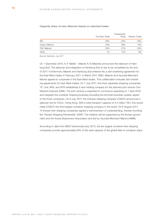#### **Capacity share of new alliances based on selected trades**

|                     | Far East Trade | Transpacific<br>Trade | Atlantic Trade |
|---------------------|----------------|-----------------------|----------------|
| 2M                  | 39%            | 22%                   | 43%            |
| Ocean Alliance      | 35%            | 39%                   | 15%            |
| <b>THE Alliance</b> | 25%            | 27%                   | 33%            |
| Other               | $1\%$          | 12%                   | 9%             |

Source: Alphaliner, July 2017

On 1 December 2016, A.P. Møller – Mærsk A/S (Maersk) announced the takeover of Hamburg Süd. The takeover and integration of Hamburg Süd is due to be completed by the end of 2017. Furthermore, Maersk and Hamburg Süd entered into a slot-chartering agreement for the East-West trades in February 2017. In March 2017, MSC, Maersk and Hyundai Merchant Marine agreed to cooperate in the East-West trades. This collaboration includes slot-chartering agreements for East-West trades. On 7 July 2017, the three Japanese shipping companies "K" Line, MOL and NYK established a new holding company for the planned joint venture One Network Express (ONE). The joint venture is expected to commence operating on 1 April 2018 and integrate the container shipping business (including the terminal business outside Japan) of the three companies. On 9 July 2017, the Chinese shipping company COSCO announced a takeover bid for OOCL, Hong Kong. With a total transport capacity of 2.4 million TEU, this would make COSCO the third-largest container shipping company in the world. On 8 August 2017, 14 Korean liner shipping companies signed a memorandum of understanding, thereby founding the "Korean Shipping Partnership" (KSP). The initiative will be supported by the Korean government and the Korea Shipowners Association and led by Hyundai Merchant Marine (HMM).

According to data from MDS Transmodal (July 2017), the ten largest container liner shipping companies provide approximately 84% of the total capacity of the global fleet of container ships.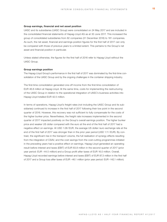#### **Group earnings, financial and net asset position**

UASC and its subsidiaries (UASC Group) were consolidated on 24 May 2017 and are included in the consolidated financial statements of Hapag-Lloyd AG as at 30 June 2017. This increased the group of consolidated subsidiaries from 82 companies (31 December 2016) to 181 companies. As such, the net asset, financial and earnings position figures for the first half of 2017 can only be compared with those of previous years to a limited extent. This pertains to the Group's net asset and financial position in particular.

Unless stated otherwise, the figures for the first half of 2016 refer to Hapag-Lloyd without the UASC Group.

## **Group earnings position**

The Hapag-Lloyd Group's performance in the first half of 2017 was dominated by the first-time consolidation of the UASC Group and by the ongoing challenges in the container shipping industry.

The first-time consolidation generated one-off income from the first-time consolidation of EUR 46.8 million at Hapag-Lloyd. At the same time, costs for implementing the restructuring of the UASC Group in relation to the operational integration of UASC's business activities into Hapag-Lloyd totalled EUR 42.5 million.

In terms of operations, Hapag-Lloyd's freight rates (not including the UASC Group and its subsidiaries) continued to increase in the first half of 2017 following their low point in the second quarter of 2016. However, this recovery was not sufficient to fully compensate for the costs of the higher bunker price. Nevertheless, the freight rate increases implemented in the second quarter of 2017 impacted positively on the Group's overall earnings position. The higher bunker price and weaker US dollar compared with the euro at the end of the first half of 2017 had a negative effect on earnings. At USD 1.08 /EUR, the average US dollar/ euro exchange rate at the end of the first half of 2017 was stronger than in the prior year period (USD 1.11 /EUR). By contrast, the significant rise in the transport volume, the full realisation of synergy effects resulting from the integration of CSAV, and the cost savings from the cost-cutting programmes initiated in the preceding years had a positive effect on earnings. Hapag-Lloyd generated an operating result before interest and taxes (EBIT) of EUR 83.8 million in the second quarter of 2017 (prior year period: EUR –44.5 million) and a Group profit after taxes of EUR 16.0 million. Overall, Hapag-Lloyd recorded earnings before interest and taxes (EBIT) of EUR 87.3 million in the first half of 2017 and a Group loss after taxes of EUR –46.1 million (prior year period: EUR –142.1 million).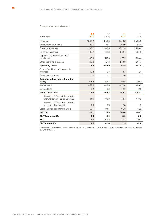# **Group income statement**

| million EUR                                                           | Q <sub>2</sub><br>2017 | Q2<br>2016 | H1<br>2017 | H1<br>2016 |
|-----------------------------------------------------------------------|------------------------|------------|------------|------------|
| Revenue                                                               | 2,386.2                | 1,859.8    | 4,518.3    | 3,785.5    |
| Other operating income                                                | 77.6                   | 36.1       | 103.9      | 58.6       |
| Transport expenses                                                    | 1,933.2                | 1,608.6    | 3,722.3    | 3,200.6    |
| Personnel expenses                                                    | 196.7                  | 112.6      | 344.1      | 254.3      |
| Depreciation, amortisation and<br>impairment                          | 145.3                  | 117.8      | 273.1      | 236.4      |
| Other operating expenses                                              | 115.6                  | 107.8      | 213.8      | 204.7      |
| <b>Operating result</b>                                               | 73.0                   | $-50.9$    | 68.9       | $-51.9$    |
| Share of profit of equity-accounted<br>investees                      | 10.8                   | 6.3        | 18.4       | 12.1       |
| Other financial result                                                | 0.0                    | 0.1        | 0.0        | 0.1        |
| Earnings before interest and tax<br>(EBIT)                            | 83.8                   | $-44.5$    | 87.3       | $-39.7$    |
| Interest result                                                       | $-59.6$                | $-46.8$    | $-121.4$   | $-89.9$    |
| Income taxes                                                          | 8.2                    | 8.0        | 12.0       | 12.5       |
| Group profit/loss                                                     | 16.0                   | $-99.3$    | $-46.1$    | $-142.1$   |
| thereof profit/loss attributable to<br>shareholders of Hapag-Lloyd AG | 14.4                   | $-99.9$    | $-48.4$    | $-143.9$   |
| thereof profit/loss attributable to<br>non-controlling interests      | 1.6                    | 0.6        | 2.3        | 1.8        |
| Basic earnings per share (in EUR)                                     | 0.11                   | $-0.85$    | $-0.38$    | $-1.22$    |
| <b>EBITDA</b>                                                         | 229.1                  | 73.3       | 360.4      | 196.7      |
| <b>EBITDA</b> margin (%)                                              | 9.6                    | 3.9        | 8.0        | 5.2        |
| <b>EBIT</b>                                                           | 83.8                   | $-44.5$    | 87.3       | $-39.7$    |
| EBIT margin (%)                                                       | 3.5                    | $-2.4$     | 1.9        | $-1.0$     |

The figures for the second quarter and the first half of 2016 relate to Hapag-Lloyd only and do not include the integration of the UASC Group.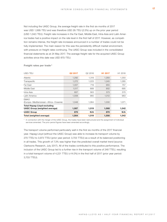Not including the UASC Group, the average freight rate in the first six months of 2017 was USD 1,068/TEU and was therefore USD 26/TEU (2.5%) up on the prior year period (USD 1,042 / TEU). Freight rate increases in the Far East, Middle East, Intra-Asia and Latin America trades had a positive impact on the rate level in the first half of 2017. However, as competition remains intense, the freight rate increases announced in a number of trades could not be fully implemented. The main reason for this was the persistently difficult market environment, with pressure on freight rates continuing. The UASC Group was included in the consolidated financial statements as at 24 May 2017. The average freight rate for the acquired UASC Group activities since this date was USD 870 / TEU.

| USD/TEU                                                             | Q2 2017 | Q2 2016 | H <sub>1</sub> 2017 | H1 2016 |
|---------------------------------------------------------------------|---------|---------|---------------------|---------|
| Atlantic                                                            | 1,292   | 1,319   | 1,293               | 1,350   |
| Transpacific                                                        | 1,272   | 1,223   | 1,245               | 1,285   |
| Far East                                                            | 1,007   | 719     | 955                 | 757     |
| Middle East                                                         | 1,017   | 689     | 902                 | 695     |
| Intra-Asia                                                          | 607     | 563     | 573                 | 570     |
| Latin America                                                       | 1,008   | 965     | 1,012               | 963     |
| <b>EMAO</b><br>(Europe-Mediterranean-Africa-Oceania)                | 1,048   | 1,064   | 1,030               | 1,071   |
| <b>Total Hapag-Lloyd excluding</b><br>UASC Group (weighted average) | 1,087   | 1,019   | 1,068               | 1,042   |
| <b>UASC Group</b>                                                   | 870     | N/A     | 870                 | N/A     |
| Total (weighted average)                                            | 1,064   | 1,019   | 1,056               | 1,042   |

# **Freight rates per trade \***

\* In connection with the merger of the UASC Group, the trades have been restructured and the assignment of individual services amended. The prior period figures have been amended accordingly.

The transport volume performed particularly well in the first six months of the 2017 financial year. Hapag-Lloyd (without the UASC Group) was able to increase its transport volume by 270 TTEU to 3,973 TTEU (prior year period: 3,703 TTEU) as a result of its balanced positioning in all trades. This growth of 7.3% was higher than the predicted overall market trend (source: Clarksons Research, July 2017). All of the trades contributed to this positive performance. The inclusion of the UASC Group led to a further rise in the transport volume of 248 TTEU, resulting in a total transport volume of 4,221 TTEU (+14.0%) in the first half of 2017 (prior year period: 3,703 TTEU).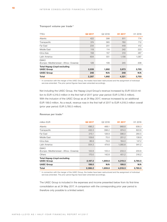# **Transport volume per trade \***

| TTEU                                                    | Q2 2017 | Q2 2016 | H1 2017 | H1 2016 |
|---------------------------------------------------------|---------|---------|---------|---------|
| Atlantic                                                | 422     | 398     | 811     | 774     |
| Transpacific                                            | 374     | 365     | 760     | 712     |
| Far East                                                | 234     | 201     | 449     | 412     |
| Middle East                                             | 119     | 114     | 242     | 223     |
| Intra-Asia                                              | 158     | 157     | 310     | 287     |
| Latin America                                           | 604     | 551     | 1,156   | 1,087   |
| <b>EMAO</b><br>(Europe-Mediterranean-Africa-Oceania)    | 128     | 106     | 245     | 208     |
| <b>Total Hapag-Lloyd excluding</b><br><b>UASC Group</b> | 2,039   | 1,892   | 3,973   | 3,703   |
| <b>UASC Group</b>                                       | 248     | N/A     | 248     | N/A     |
| <b>Total</b>                                            | 2,287   | 1,892   | 4,221   | 3,703   |

\* In connection with the merger of the UASC Group, the trades have been restructured and the assignment of individual services amended. The prior period figures have been amended accordingly.

Not including the UASC Group, the Hapag-Lloyd Group's revenue increased by EUR 533.8 million to EUR 4,319.3 million in the first half of 2017 (prior year period: EUR 3,785.5 million). With the inclusion of the UASC Group as at 24 May 2017, revenue increased by an additional EUR 199.0 million. As a result, revenue rose in the first half of 2017 to EUR 4,518.3 million overall (prior year period: EUR 3,785.5 million).

# **Revenue per trade \***

| million EUR                                             | Q2 2017 | Q2 2016 | H <sub>1</sub> 2017 | H1 2016 |
|---------------------------------------------------------|---------|---------|---------------------|---------|
| Atlantic                                                | 496.2   | 466.1   | 968.8               | 938.3   |
| Transpacific                                            | 432.3   | 398.2   | 874.0               | 822.6   |
| Far East                                                | 215.1   | 128.9   | 396.0               | 280.5   |
| Middle East                                             | 109.6   | 70.0    | 201.2               | 138.9   |
| Intra-Asia                                              | 86.9    | 78.8    | 164.0               | 147.2   |
| Latin America                                           | 554.3   | 474.6   | 1,080.8             | 941.2   |
| <b>EMAO</b><br>(Europe-Mediterranean-Africa-Oceania)    | 122.8   | 100.4   | 233.3               | 200.6   |
| Others                                                  | 170.0   | 142.8   | 401.2               | 316.2   |
| <b>Total Hapag-Lloyd excluding</b><br><b>UASC Group</b> | 2,187.2 | 1,859.8 | 4,319.3             | 3,785.5 |
| <b>UASC Group</b>                                       | 199.0   | N/A     | 199.0               | N/A     |
| Total                                                   | 2,386.2 | 1,859.8 | 4,518.3             | 3,785.5 |

\* In connection with the merger of the UASC Group, the trades have been restructured and the assignment of individual services amended. The prior period figures have been amended accordingly.

The UASC Group is included in the expenses and income presented below from its first-time consolidation as at 24 May 2017. A comparison with the corresponding prior year period is therefore only possible to a limited extent.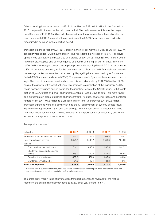Other operating income increased by EUR 45.3 million to EUR 103.9 million in the first half of 2017 compared to the respective prior year period. The main reason for this was the negative difference of EUR 46.8 million, which resulted from the provisional purchase allocation in accordance with IFRS 3 as part of the acquisition of the UASC Group and which had to be recognised in earnings in the reporting period.

Transport expenses rose by EUR 521.7 million in the first six months of 2017 to EUR 3,722.3 million (prior year period: EUR 3,200.6 million). This represents an increase of 16.3%. This development was particularly attributable to an increase of EUR 254.8 million (88.9%) in expenses for raw materials, supplies and purchase goods as a result of the higher bunker price. In the first half of 2017, the average bunker consumption price for Hapag-Lloyd was USD 312 per tonne, up USD 114 per tonne on the figure for the prior year period. From the 2017 financial year onwards, the average bunker consumption price used by Hapag-Lloyd is a combined figure for marine fuel oil (MFO) and marine diesel oil (MDO). The previous year's figure has been restated accordingly. The cost of purchased services has risen disproportionately by EUR 266.9 million (9.2%) against the growth of transport volumes. This increase is a reflection of the significant 14.0% rise in transport volumes and, in particular, the initial inclusion of the UASC Group. Both the integration of UASC's fleet and lower charter rates enabled Hapag-Lloyd to enter into more favourable agreements in place of existing charter contracts. As such, chartering, lease and container rentals fell by EUR 104.3 million to EUR 458.5 million (prior year period: EUR 562.8 million). Transport expenses were also down thanks to the full achievement of synergy effects resulting from the integration of CSAV and cost savings from the cost-cutting measures that have now been implemented in full. The rise in container transport costs was essentially due to the increase in transport volumes of around 14%.

| million EUR                                 | Q2 2017 | Q2 2016 | H <sub>1</sub> 2017 | H1 2016 |
|---------------------------------------------|---------|---------|---------------------|---------|
| Expenses for raw materials and supplies     | 279.0   | 146.4   | 541.5               | 286.7   |
| Cost of purchased services                  | 1.654.2 | 1,462.2 | 3,180.8             | 2,913.9 |
| thereof:                                    |         |         |                     |         |
| Port, canal and terminal costs              | 814.1   | 660.9   | 1.532.5             | 1.312.2 |
| Chartering, leases and container<br>rentals | 216.0   | 280.6   | 458.5               | 562.8   |
| Container transport costs                   | 559.3   | 471.3   | 1.065.6             | 931.4   |
| Maintenance/repair/other                    | 64.8    | 49.4    | 124.2               | 107.5   |
| <b>Transport expenses</b>                   | 1.933.2 | 1.608.6 | 3.722.3             | 3.200.6 |

# **Transport expenses \***

\* Within the cost of purchased services, there has been a reclassification between port, canal and terminal costs and chartering, leases and container rentals for the first half year of 2016.

The gross profit margin (ratio of revenue less transport expenses to revenue) for the first six months of the current financial year came to 17.6% (prior year period: 15.5%).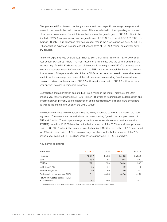Changes in the US dollar/ euro exchange rate caused period-specific exchange rate gains and losses to decrease in the period under review. This was reflected in other operating income and other operating expenses. Netted, this resulted in an exchange rate gain of EUR 9.1 million in the first half of 2017 (prior year period: exchange rate loss of EUR 12.8 million). At USD 1.08/EUR, the average US dollar/ euro exchange rate was stronger than in the prior year period (USD 1.11/EUR). Other operating expenses included one-off special items of EUR 16.1 million, primarily for advisory services.

Personnel expenses rose by EUR 89.8 million to EUR 344.1 million in the first half of 2017 (prior year period: EUR 254.3 million). The main reason for this increase was the costs incurred for the restructuring of the UASC Group as part of the operational integration of UASC's business activities and associated one-off effects amounting to EUR 38.4 million in total. Furthermore, the firsttime inclusion of the personnel costs of the UASC Group led to an increase in personal expenses. In addition, the exchange rate losses at the balance sheet date resulting from the valuation of pension provisions in the amount of EUR 9.5 million (prior year period: EUR 2.8 million) led to a year-on-year increase in personnel expenses.

Depreciation and amortisation came to EUR 273.1 million in the first six months of the 2017 financial year (prior year period: EUR 236.4 million). The year-on-year increase in depreciation and amortisation was primarily due to depreciation of the acquired newly built ships and containers as well as the first-time inclusion of the UASC Group.

The Group's earnings before interest and taxes (EBIT) amounted to EUR 87.3 million in the reporting period. They were therefore well above the corresponding figure in the prior year period of EUR –39.7 million. The Group's earnings before interest, taxes, depreciation and amortisation (EBITDA) came in at EUR 360.4 million in the first six months of the 2017 financial year (prior year period: EUR 196.7 million). The return on invested capital (ROIC) for the first half of 2017 amounted to 1.2% (prior year period: –1.3%). Basic earnings per share for the first six months of the 2017 financial year came to EUR –0.38 per share (prior year period: EUR –1.22 per share).

| million EUR                                          | Q2 2017 | Q2 2016 | H <sub>1</sub> 2017 | H <sub>1</sub> 2016 |
|------------------------------------------------------|---------|---------|---------------------|---------------------|
| Revenue                                              | 2,386.2 | 1,859.8 | 4,518.3             | 3,785.5             |
| <b>EBIT</b>                                          | 83.8    | $-44.5$ | 87.3                | $-39.7$             |
| <b>EBITDA</b>                                        | 229.1   | 73.3    | 360.4               | 196.7               |
| EBIT margin (%)                                      | 3.5     | $-2.4$  | 1.9                 | $-1.0$              |
| EBITDA margin (%)                                    | 9.6     | 3.9     | 8.0                 | 5.2                 |
| Basic earnings per share (in EUR)                    | 0.11    | $-0.85$ | $-0.38$             | $-1.22$             |
| Return on invested capital (ROIC)<br>annualised (%)* | 2.4     | $-2.6$  | 1.2                 | $-1.3$              |

# **Key earnings figures**

\* The calculation of the return on invested capital is based on the functional currency USD.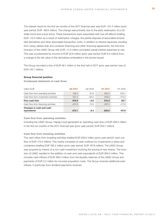The interest result for the first six months of the 2017 financial year was EUR –121.4 million (prior year period: EUR –89.9 million). The change was primarily due to the early redemption of a US dollar bond and a euro bond. These transactions were associated with one-off effects totalling EUR –14.0 million as a result of redemption charges, the partial disposal of associated embedded derivatives and other associated transaction costs. In addition to interest expenses resulting from newly utilised ship and container financing and other financing agreements, the first-time inclusion of the UASC Group with EUR –11.0 million prompted overall interest expenses to rise. This was counteracted by income of EUR 22.8 million (prior year period: EUR 9.2 million) from a change in the fair value of the derivatives embedded in the bonds issued.

The Group recorded a loss of EUR 46.1 million in the first half of 2017 (prior year period: loss of EUR 142.1 million).

# **Group financial position**

**Condensed statement of cash flows**

| equivalents                          | 272.1    | 8.4                 | 228.0               | $-87.9$             |
|--------------------------------------|----------|---------------------|---------------------|---------------------|
| Changes in cash and cash             |          |                     |                     |                     |
| Cash flow from financing activities  | $-207.8$ | 12.0                | $-287.5$            | $-117.6$            |
| Free cash flow                       | 479.9    | $-3.6$              | 515.5               | 29.7                |
| Cash flow from investment activities | 321.5    | $-65.5$             | 209.0               | $-173.4$            |
| Cash flow from operating activities  | 158.4    | 61.9                | 306.5               | 203.1               |
| million EUR                          | Q2 2017  | Q <sub>2</sub> 2016 | H <sub>1</sub> 2017 | H <sub>1</sub> 2016 |

# **Cash flow from operating activities**

Including the UASC Group, Hapag-Lloyd generated an operating cash flow of EUR 306.5 million in the first six months of the 2017 financial year (prior year period: EUR 203.1 million).

# **Cash flow from investing activities**

The cash inflow from investing activities totalled EUR 209.0 million (prior year period: cash outflow of EUR 173.4 million). This mainly consisted of cash outflows for investments in ships and containers totalling EUR 180.2 million (prior year period: EUR 197.8 million). The UASC Group was acquired by means of a non-cash investment involving the issuing of new shares. The inclusion of UASC resulted in the addition of cash and cash equivalents of EUR 364.0 million. This includes cash inflows of EUR 366.3 million from the liquidity reserves of the UASC Group and payments of EUR 2.3 million for incurred acquisition costs. The Group received additional cash inflows, in particular from dividend payments received.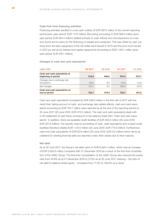#### **Cash flow from financing activities**

Financing activities resulted in a net cash outflow of EUR 287.5 million in the current reporting period (prior year period: EUR 117.6 million). Borrowing amounting to EUR 909.0 million (prior year period: EUR 264.4 million) related primarily to cash inflows from the placement of a new euro bond and to loans for the financing of vessels and containers. This was offset by cash outflows from the early repayment of the US dollar bond issued in 2010 and the euro bond issued in 2013 as well as by interest and capital repayments amounting to EUR 1,163.1 million (prior year period: EUR 379.1 million).

**Changes in cash and cash equivalents**

| million EUR                                         | Q2 2017 | Q2 2016 | H <sub>1</sub> 2017 | H <sub>1</sub> 2016 |
|-----------------------------------------------------|---------|---------|---------------------|---------------------|
| Cash and cash equivalents at<br>beginning of period | 519.8   | 456.0   | 570.2               | 573.7               |
| Changes due to exchange rate<br>fluctuations        | $-38.2$ | 8.6     | $-44.5$             | $-12.8$             |
| Net changes                                         | 272.1   | 8.4     | 228.0               | $-87.9$             |
| Cash and cash equivalents at<br>end of period       | 753.7   | 473.0   | 753.7               | 473.0               |

Cash and cash equivalents increased by EUR 228.0 million in the first half of 2017 with the result that, taking account of cash- and exchange rate-related effects, cash and cash equivalents amounting to EUR 753.7 million were reported as at the end of the reporting period on 30 June 2017 (30 June 2016: EUR 473.0 million). The cash and cash equivalents dealt with in the statement of cash flows correspond to the balance sheet item "Cash and cash equivalents". In addition, there are available credit facilities of EUR 403.3 million (30 June 2016: EUR 301.9 million). The liquidity reserve (consisting of cash, cash equivalents and unused credit facilities) therefore totalled EUR 1,157.0 million (30 June 2016: EUR 774.9 million). Furthermore, cash and cash equivalents of EUR 62.8 million (30 June 2016: EUR 0.0 million) which serve as collateral for existing financial debt are reported under other assets due to their maturity.

# **Net debt**

As at 30 June 2017, the Group's net debt came to EUR 6,495.4 million, which was an increase of EUR 2,903.6 million compared with 31 December 2016 as a result of the first-time consolidation of the UASC Group. The first-time consolidation of the UASC Group also reduced the equity ratio from 44.6% as at 31 December 2016 to 37.5% as at 30 June 2017. Gearing – the ratio of net debt to balance sheet equity – increased from 71.0% to 109.5% as a result.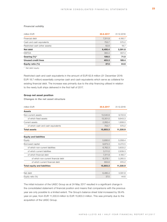# **Financial solidity**

| million EUR                    | 30.6.2017 | 31.12.2016 |
|--------------------------------|-----------|------------|
| Financial debt                 | 7,311.9   | 4,180.7    |
| Cash and cash equivalents      | 753.7     | 570.2      |
| Restricted cash (other assets) | 62.8      | 18.7       |
| Net debt                       | 6,495.4   | 3,591.8    |
| <b>EBITDA</b>                  | 360.4     | 607.4      |
| Gearing $(\%)^*$               | 109.5     | 71.0       |
| <b>Unused credit lines</b>     | 403.3     | 189.4      |
| Equity ratio (%)               | 37.5      | 44.6       |

\* Net debt/ equity

Restricted cash and cash equivalents in the amount of EUR 62.8 million (31 December 2016: EUR 18.7 million) essentially comprise cash and cash equivalents which serve as collateral for existing financial debt. The increase was primarily due to the ship financing utilised in relation to the newly built ships delivered in the first half of 2017.

# **Group net asset position**

**Changes in the net asset structure**

| million EUR                         | 30.6.2017 | 31.12.2016 |
|-------------------------------------|-----------|------------|
| <b>Assets</b>                       |           |            |
| Non-current assets                  | 13,540.9  | 9,722.9    |
| of which fixed assets               | 13,301.0  | 9,643.3    |
| Current assets                      | 2,262.4   | 1,608.0    |
| of which cash and cash equivalents  | 753.7     | 570.2      |
| <b>Total assets</b>                 | 15,803.3  | 11,330.9   |
|                                     |           |            |
| <b>Equity and liabilities</b>       |           |            |
| Equity                              | 5,930.0   | 5,058.4    |
| Borrowed capital                    | 9,873.3   | 6,272.5    |
| of which non-current liabilities    | 6,762.3   | 3,633.2    |
| of which current liabilities        | 3,111.0   | 2,639.3    |
| of which financial debt             | 7,311.9   | 4,180.7    |
| of which non-current financial debt | 6,378.1   | 3,265.5    |
| of which current financial debt     | 933.8     | 915.2      |
| <b>Total equity and liabilities</b> | 15,803.3  | 11,330.9   |
|                                     |           |            |
| Net debt                            | 6,495.4   | 3.591.8    |
| Equity ratio (%)                    | 37.5      | 44.6       |

The initial inclusion of the UASC Group as at 24 May 2017 resulted in a significant change in the consolidated statement of financial position and means that comparisons with the previous year are only possible to a limited extent. The Group's balance sheet total increased by 39.4% year-on-year, from EUR 11,330.9 million to EUR 15,803.3 million. This was primarily due to the acquisition of the UASC Group.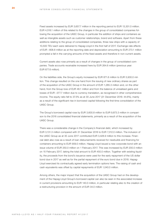Fixed assets increased by EUR 3,657.7 million in the reporting period to EUR 13,301.0 million. EUR 4,518.1 million of this related to the changes in the group of consolidated companies following the acquisition of the UASC Group, in particular the addition of ships and containers as well as intangible assets such as customer relationships, brand and software. Apart from these additions relating to the group of consolidated companies, three new ships with a capacity of 10,500 TEU each were delivered to Hapag-Lloyd in the first half of 2017. Exchange rate effects of EUR –808.8 million as at the reporting date and depreciation amounting to EUR 273.1 million prompted a fall in the carrying amounts of the fixed assets and therefore in non-current assets.

Current assets also rose primarily as a result of changes in the group of consolidated companies. Trade accounts receivable increased here by EUR 264.6 million (previous year: EUR 677.6 million).

On the liabilities side, the Group's equity increased by EUR 871.6 million to EUR 5,930.0 million. This change resulted on the one hand from the issuing of new ordinary shares as part of the acquisition of the UASC Group in the amount of EUR 1,285.3 million and, on the other hand, from the Group loss of EUR 46.1 million and from the balance of unrealised gains and losses of EUR –377.7 million due to currency translation, as recognised in other comprehensive income. The equity ratio fell to 37.5% as at 30 June 2017 (31 December 2016: 44.6%), mainly as a result of the significant rise in borrowed capital following the first-time consolidation of the UASC Group.

The Group's borrowed capital rose by EUR 3,600.8 million to EUR 9,873.3 million in comparison to the 2016 consolidated financial statements, primarily as a result of the acquisition of the UASC Group.

There was a considerable change in the Company's financial debt, which increased by EUR 3,131.3 million compared with 31 December 2016 to EUR 7,312.0 million. The inclusion of the UASC Group as at 30 June 2017 contributed EUR 3,428.9 million to this increase. Financial debt also rose as a result of loan disbursements received for newbuilds and financing for containers amounting to EUR 909.0 million. Hapag-Lloyd issued a new corporate bond with an issue volume of EUR 250.0 million on 1 February 2017. This was increased by EUR 200.0 million on 15 February 2017, taking the total amount to EUR 450.0 million. Together with existing liquidity, the proceeds from the bond's issuance were used for the early repayment of the US dollar bond due in 2017 as well as for the partial repayment of the euro bond due in 2018. Hapag-Lloyd exercised its contractually agreed early termination options here. The raising of cash and cash equivalents was offset by capital repayments of EUR 1,040.0 million.

Among others, the major impact that the acquisition of the UASC Group had on the development of the Hapag-Lloyd Group's borrowed capital can also be seen in the associated increase in current provisions amounting to EUR 140.0 million, in particular relating also to the creation of a restructuring provision in the amount of EUR 34.0 million.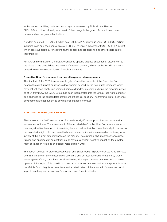Within current liabilities, trade accounts payable increased by EUR 322.8 million to EUR 1,604.4 million, primarily as a result of the change in the group of consolidated companies and exchange rate fluctuations.

Net debt came to EUR 6,495.4 million as at 30 June 2017 (previous year: EUR 3,591.8 million) including cash and cash equivalents of EUR 62.8 million (31 December 2016: EUR 18.7 million) which serve as collateral for existing financial debt and are classified as other assets due to their maturity.

For further information on significant changes to specific balance sheet items, please refer to the Notes to the consolidated statement of financial position, which can be found in the condensed Notes to the consolidated financial statements.

# **Executive Board's statement on overall expected developments**

The first half of the 2017 financial year largely reflects the forecasts of the Executive Board, despite the slight impact on revenue development caused by the freight rate increases which have not yet been wholly implemented across all trades. In addition, during the reporting period as at 24 May 2017, the UASC Group has been incorporated into the Group, leading to considerable changes to the consolidated statement of financial position. The frameworks for economic development are not subject to any material changes, however.

# **RISK AND OPPORTUNITY REPORT**

Please refer to the 2016 annual report for details of significant opportunities and risks and an assessment of these. The assessment of the reported risks' probability of occurrence remains unchanged, while the opportunities arising from a positive deviation from the budget concerning the expected freight rates and from the bunker consumption price are classified as being lower in view of the current circumstances on the market. The existing global macroeconomic uncertainties and ongoing stiff competition could have a significant negative impact on the development of transport volumes and freight rates again in 2017.

The current political tensions between Qatar and Saudi Arabia, Egypt, the United Arab Emirates and Bahrain, as well as the associated economic and political sanctions instigated by these states against Qatar, could have considerable negative repercussions on the economic development of the region. This could in turn lead to a reduction in the container transport volume in the Middle East. Heightened sanctions and a deterioration of the economic frameworks could impact negatively on Hapag-Lloyd's economic and financial situation.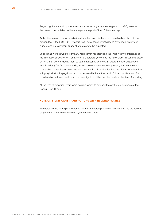Regarding the material opportunities and risks arising from the merger with UASC, we refer to the relevant presentation in the management report of the 2016 annual report.

Authorities in a number of jurisdictions launched investigations into possible breaches of competition law in the 2015/2016 financial year. All of these investigations have been largely concluded, and no significant financial effects are to be expected.

Subpoenas were served to company representatives attending the twice-yearly conference of the International Council of Containership Operators (known as the "Box Club") in San Francisco on 15 March 2017, ordering them to attend a hearing by the U.S. Department of Justice Antitrust Division ("DoJ"). Concrete allegations have not been made at present, however the subpoenas have been issued in connection with the DoJ investigation into the global container liner shipping industry. Hapag-Lloyd will cooperate with the authorities in full. A quantification of a possible risk that may result from the investigations still cannot be made at the time of reporting.

At the time of reporting, there were no risks which threatened the continued existence of the Hapag-Lloyd Group.

# **NOTE ON SIGNIFICANT TRANSACTIONS WITH RELATED PARTIES**

The notes on relationships and transactions with related parties can be found in the disclosures on page 55 of the Notes to the half-year financial report.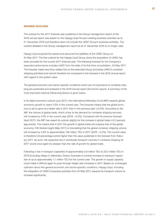# **REVISED OUTLOOK**

The outlook for the 2017 financial year published in the Group management report of the 2016 annual report was based on the Hapag-Lloyd Group's existing business activities as at 31 December 2016 and therefore does not include the UASC Group's business activities. The outlook detailed in the Group management report as at 31 December 2016 is no longer valid.

Hapag-Lloyd acquired the assets and assumed the liabilities of the UASC Group on 24 May 2017. The first outlook for the Hapag-Lloyd Group since the acquisition of UASC has been provided for the current 2017 financial year. The following forecast for the Company's expected performance includes UASC from the date of its first-time consolidation, 24 May 2017. The forecast made here thus relates first to the extended Group (including UASC's container shipping activities) and cannot therefore be compared to the forecast in the 2016 annual report with regard to the system used.

The general economic and sector-specific conditions which are of importance to container shipping are presented and analysed in the 2016 annual report (Economic report). A summary of the most important external influencing factors is given below.

In its latest economic outlook (July 2017), the International Monetary Fund (IMF) expects global economic growth to reach 3.5% in the current year. This forecast means that the global economy is set to grow at a faster rate in 2017 than in the previous year (+3.2%). According to the IMF, the volume of global trade, which is key to the demand for container shipping services, will increase by 4.0% in the current year (2016: +2.3%). Compared with its previous forecast (April 2017), the IMF has raised its outlook slightly for the increase in global trade (+0.2 percentage points). This means that in 2017 the growth in global trade will outpace that of the global economy. IHS Global Insight (May 2017) is forecasting that the global container shipping volume will increase by 4.6% to approximately 139 million TEU in 2017 (2016: +3.2%). The current value is therefore 0.9 percentage points higher than the value published in the forecast from February 2017. As such, the expected rise in worldwide transport volumes in container shipping for 2017 would once again be sharper than the rate of growth for global trade.

Following a rise in transport capacities of approximately 0.9 million TEU to 20.0 million TEU in 2016 (including delays in deliveries), Drewry forecasts a nominal increase in transport capacities of up to approximately 1.1 million TEU for the current year. The growth in supply capacity could make it difficult again to push through freight rate increases in 2017. Based on unchanged optimism about the general economic and sector-specific conditions, Hapag-Lloyd, including the integration of UASC's business activities from 24 May 2017, expects its transport volume to increase significantly.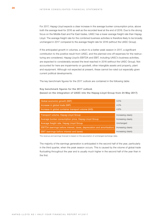For 2017, Hapag-Lloyd expects a clear increase in the average bunker consumption price, above both the average level for 2016 as well as the recorded level at the end of 2016. Due to the strong focus on the Middle East and Far East trades, UASC has a lower average freight rate than Hapag-Lloyd. The average freight rate for the combined business activities is therefore likely to be broadly unchanged in 2017 compared to the average freight rate for 2016 (without the UASC Group).

If the anticipated growth in volumes, a return to a better peak season in 2017, a significant contribution to the positive result from UASC, and the planned one-off expenses for the restructuring are considered, Hapag-Lloyd's EBITDA and EBIT, including UASC's business activities, are expected to considerably exceed the level reached in 2016 (without the UASC Group). Not accounted for here are impairments on goodwill, other intangible assets and property, plant and equipment. Although not expected at present, these cannot be ruled out especially given current political developments.

The key benchmark figures for the 2017 outlook are contained in the following table:

**Key benchmark figures for the 2017 outlook (based on the integration of UASC into the Hapag-Lloyd Group from 24 May 2017)**

| Global economic growth (IMF)                                            | 3.5%               |
|-------------------------------------------------------------------------|--------------------|
| Increase in global trade (IMF)                                          | 4.0%               |
| Increase in global container transport volume (IHS)                     | 4.6%               |
|                                                                         |                    |
| Transport volume, Hapag-Lloyd Group                                     | Increasing clearly |
| Average bunker consumption price, Hapag-Lloyd Group                     | Increasing clearly |
| Average freight rate, Hapag Lloyd Group                                 | Unchanged          |
| EBITDA (earnings before interest, taxes, depreciation and amortisation) | Increasing clearly |
| <b>EBIT</b> (earnings before interest and taxes)                        | Increasing clearly |

The revenue and earnings forecast is based on the assumption of unchanged exchange rates.

The majority of the earnings generation is anticipated in the second half of the year, particularly in the third quarter, when the peak season occurs. This is caused by the volume of global trade fluctuating throughout the year and is usually much higher in the second half of the year than in the first.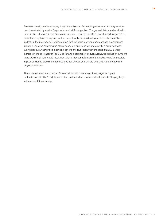Business developments at Hapag-Lloyd are subject to far-reaching risks in an industry environment dominated by volatile freight rates and stiff competition. The general risks are described in detail in the risk report in the Group management report of the 2016 annual report (page 110 ff.). Risks that may have an impact on the forecast for business development are also described in detail in the risk report. Significant risks for the Group's revenue and earnings development include a renewed slowdown in global economic and trade volume growth, a significant and lasting rise in bunker prices extending beyond the level seen from the start of 2017, a sharp increase in the euro against the US dollar and a stagnation or even a renewed reduction in freight rates. Additional risks could result from the further consolidation of the industry and its possible impact on Hapag-Lloyd's competitive position as well as from the changes in the composition of global alliances.

The occurrence of one or more of these risks could have a significant negative impact on the industry in 2017 and, by extension, on the further business development of Hapag-Lloyd in the current financial year.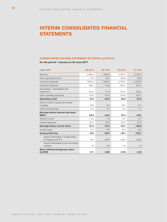# **INTERIM CONSOLIDATED FINANCIAL STATEMENTS**

# **CONSOLIDATED INCOME STATEMENT OF HAPAG-LLOYD AG**

**for the period 1 January to 30 June 2017**

| million EUR                                               | Q2 2017 | Q2 2016 | H1 2017 | H1 2016  |
|-----------------------------------------------------------|---------|---------|---------|----------|
| Revenue                                                   | 2,386.2 | 1,859.8 | 4,518.3 | 3,785.5  |
| Other operating income                                    | 77.6    | 36.1    | 103.9   | 58.6     |
| Transport expenses                                        | 1,933.2 | 1,608.6 | 3,722.3 | 3,200.6  |
| Personnel expenses                                        | 196.7   | 112.6   | 344.1   | 254.3    |
| Depreciation, amortisation and<br>impairment              | 145.3   | 117.8   | 273.1   | 236.4    |
| Other operating expenses                                  | 115.6   | 107.8   | 213.8   | 204.7    |
| <b>Operating result</b>                                   | 73.0    | $-50.9$ | 68.9    | $-51.9$  |
| Share of profit of equity-accounted<br>investees          | 10.8    | 6.3     | 18.4    | 12.1     |
| Other financial result                                    | 0.0     | 0.1     | 0.0     | 0.1      |
| <b>Earnings before interest and taxes</b><br>(EBIT)       | 83.8    | $-44.5$ | 87.3    | $-39.7$  |
| Interest income                                           | 4.5     | 1.5     | 6.1     | 2.7      |
| Interest expenses                                         | 64.1    | 48.3    | 127.5   | 92.6     |
| Earnings before income taxes                              | 24.2    | $-91.3$ | $-34.1$ | $-129.6$ |
| Income taxes                                              | 8.2     | 8.0     | 12.0    | 12.5     |
| Group profit/loss                                         | 16.0    | $-99.3$ | $-46.1$ | $-142.1$ |
| thereof attributable to shareholders<br>of Hapag-Lloyd AG | 14.4    | $-99.9$ | $-48.4$ | $-143.9$ |
| thereof attributable to non-controlling<br>interests      | 1.6     | 0.6     | 2.3     | 1.8      |
| Basic/diluted earnings per share<br>(in EUR)              | 0.11    | $-0.85$ | $-0.38$ | $-1.22$  |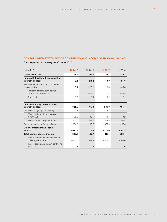# **CONSOLIDATED STATEMENT OF COMPREHENSIVE INCOME OF HAPAG-LLOYD AG**

**for the period 1 January to 30 June 2017**

| million EUR                                                | Q2 2017  | Q2 2016 | H1 2017  | H <sub>1</sub> 2016 |
|------------------------------------------------------------|----------|---------|----------|---------------------|
| <b>Group profit/loss</b>                                   | 16.0     | $-99.3$ | $-46.1$  | $-142.1$            |
| Items which will not be reclassified<br>to profit and loss | 5.4      | $-23.2$ | 10.0     | $-55.6$             |
| Remeasurements from defined benefit<br>plans after tax     | 5.4      | $-23.2$ | 10.0     | $-55.6$             |
| Remeasurements from defined<br>benefit plans before tax    | 5.6      | $-23.2$ | 10.2     | $-55.5$             |
| Tax effect                                                 | $-0.2$   | $-0.0$  | $-0.2$   | $-0.1$              |
|                                                            |          |         |          |                     |
| Items which may be reclassified<br>to profit and loss      | $-321.5$ | 95.8    | $-381.0$ | $-105.7$            |
| Cash flow hedges (no tax effect)                           | 2.5      | 2.1     | $-3.1$   | 1.8                 |
| Effective share of the changes<br>in fair value            | 65.2     | 39.5    | 64.4     | 13.2                |
| Reclassification to profit or loss                         | $-62.7$  | $-37.4$ | $-67.5$  | $-11.4$             |
| Currency translation (no tax effect)                       | $-324.0$ | 93.7    | $-377.9$ | $-107.5$            |
| Other comprehensive income<br>after tax                    | $-316.1$ | 72.6    | $-371.0$ | $-161.3$            |
| <b>Total comprehensive income</b>                          | $-300.1$ | $-26.7$ | $-417.1$ | $-303.4$            |
| thereof attributable to shareholders<br>of Hapag-Lloyd AG  | $-301.5$ | $-27.3$ | $-419.2$ | $-305.0$            |
| thereof attributable to non-controlling<br>interests       | 1.4      | 0.6     | 2.1      | 1.6                 |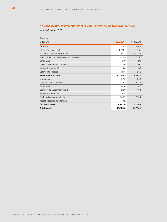# **CONSOLIDATED STATEMENT OF FINANCIAL POSITION OF HAPAG-LLOYD AG**

**as at 30 June 2017**

| <b>Assets</b>                             |           |            |
|-------------------------------------------|-----------|------------|
| million EUR                               | 30.6.2017 | 31.12.2016 |
| Goodwill                                  | 1,538.5   | 1,661.6    |
| Other intangible assets                   | 1,924.1   | 1,340.4    |
| Property, plant and equipment             | 9,519.1   | 6,315.6    |
| Investments in equity-accounted investees | 319.3     | 325.7      |
| Other assets                              | 167.0     | 27.0       |
| Derivative financial instruments          | 44.9      | 24.1       |
| Income tax receivables                    | 3.5       | 3.3        |
| Deferred tax assets                       | 24.5      | 25.2       |
| Non-current assets                        | 13,540.9  | 9,722.9    |
| Inventories                               | 192.0     | 124.5      |
| Trade accounts receivable                 | 942.2     | 677.6      |
| Other assets                              | 311.8     | 197.5      |
| Derivative financial instruments          | 22.0      | 13.5       |
| Income tax receivables                    | 27.5      | 24.7       |
| Cash and cash equivalents                 | 753.7     | 570.2      |
| Assets classified held for sale           | 13.2      |            |
| <b>Current assets</b>                     | 2,262.4   | 1,608.0    |
| <b>Total assets</b>                       | 15,803.3  | 11,330.9   |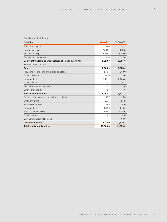# **Equity and liabilities**

| million EUR                                           | 30.6.2017 | 31.12.2016 |
|-------------------------------------------------------|-----------|------------|
| Subscribed capital                                    | 164.0     | 118.1      |
| Capital reserves                                      | 2.301.2   | 1,061.8    |
| Retained earnings                                     | 3,104.3   | 3,152.9    |
| Cumulative other equity                               | 350.8     | 721.8      |
| Equity attributable to shareholders of Hapag-Lloyd AG | 5,920.3   | 5,054.6    |
| Non-controlling interests                             | 9.7       | 3.8        |
| <b>Equity</b>                                         | 5,930.0   | 5,058.4    |
| Provisions for pensions and similar obligations       | 253.5     | 238.0      |
| Other provisions                                      | 100.6     | 114.0      |
| Financial debt                                        | 6,378.1   | 3,265.5    |
| Other liabilities                                     | 11.1      | 12.1       |
| Derivative financial instruments                      | 15.7      | 1.8        |
| Deferred tax liabilities                              | 3.3       | 1.8        |
| <b>Non-current liabilities</b>                        | 6,762.3   | 3,633.2    |
| Provisions for pensions and similar obligations       | 60.7      | 6.6        |
| Other provisions                                      | 297.1     | 211.2      |
| Income tax liabilities                                | 27.8      | 17.6       |
| Financial debt                                        | 933.8     | 915.2      |
| Trade accounts payable                                | 1,604.4   | 1,281.6    |
| Other liabilities                                     | 187.2     | 167.8      |
| Derivative financial instruments                      |           | 39.3       |
| <b>Current liabilities</b>                            | 3,111.0   | 2,639.3    |
| <b>Total equity and liabilities</b>                   | 15,803.3  | 11,330.9   |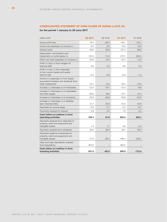# **CONSOLIDATED STATEMENT OF CASH FLOWS OF HAPAG-LLOYD AG**

# **for the period 1 January to 30 June 2017**

| million EUR                                                                                         | Q2 2017 | Q2 2016 | H1 2017  | H1 2016  |
|-----------------------------------------------------------------------------------------------------|---------|---------|----------|----------|
| Group profit/loss                                                                                   | 16.0    | $-99.3$ | $-46.1$  | $-142.1$ |
| Income tax expenses $(+)/$ income $(-)$                                                             | 8.2     | 8.0     | 12.0     | 12.5     |
| Interest result                                                                                     | 59.6    | 46.8    | 121.4    | 89.9     |
| Depreciation, amortisation and<br>impairment (+)/write-backs (-)                                    | 145.3   | 117.8   | 273.1    | 236.4    |
| Other non-cash expenses $(+)/$ income $(-)$                                                         | $-37.8$ | $-8.3$  | $-27.2$  | $-0.4$   |
| Profit $(-)/$ loss $(+)$ from hedges for<br>financial debt                                          | 3.6     | 0.3     | 3.6      | 0.3      |
| Profit (-)/loss (+) from disposals<br>of non-current assets and assets<br>held for sale             | $-0.2$  | $-0.8$  | $-0.8$   | $-1.2$   |
| Income (-)/expenses (+) from equity-<br>accounted investees and dividends from<br>other investments | $-10.7$ | $-6.4$  | $-18.4$  | $-12.2$  |
| Increase $(-)/$ decrease $(+)$ in inventories                                                       | $-12.4$ | $-16.7$ | $-31.0$  | $-9.9$   |
| Increase $(-)/$ decrease $(+)$ in receivables<br>and other assets                                   | $-59.6$ | 49.6    | $-70.7$  | 44.5     |
| Increase $(+)/$ decrease $(-)$ in provisions                                                        | 26.8    | $-59.6$ | 39.8     | $-62.3$  |
| Increase (+)/decrease (-) in liabilities<br>(excl. financial debt)                                  | 21.7    | 33.9    | 54.5     | 55.8     |
| Payments for income taxes                                                                           | $-2.9$  | $-3.7$  | $-5.2$   | $-8.7$   |
| Payments received for interest                                                                      | 0.8     | 0.3     | 1.5      | 0.5      |
| Cash inflow (+)/outflow (-) from<br>operating activities                                            | 158.4   | 61.9    | 306.5    | 203.1    |
| Payments received from disposals of<br>property, plant and equipment and<br>intangible assets       | 1.3     | 1.7     | 2.9      | 4.3      |
| Payments received from dividends                                                                    | 28.0    | 28.3    | 28.1     | 28.4     |
| Payments made for investments in<br>property, plant and equipment and<br>intangible assets          | $-71.8$ | $-95.5$ | $-186.0$ | $-206.1$ |
| Cash and cash equivalents received<br>from acquisitions                                             | 364.0   |         | 364.0    |          |
| Cash inflow (+)/outflow (-) from<br>investing activities                                            | 321.5   | $-65.5$ | 209.0    | $-173.4$ |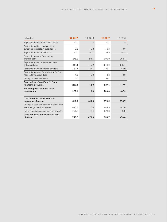| million EUR                                                              | Q2 2017  | Q2 2016 | H <sub>1</sub> 2017 | H1 2016  |
|--------------------------------------------------------------------------|----------|---------|---------------------|----------|
| Payments made for capital increases                                      | $-0.1$   |         | $-0.1$              |          |
| Payments made from changes in<br>ownership interests in subsidiaries     | $-0.3$   | $-0.3$  | $-0.3$              | $-0.3$   |
| Payments made for dividends                                              | $-0.7$   | $-0.2$  | $-1.5$              | $-2.3$   |
| Payments received from raising<br>financial debt                         | 275.6    | 141.4   | 909.0               | 264.4    |
| Payments made for the redemption<br>of financial debt                    | $-413.4$ | $-87.2$ | $-1,040.0$          | $-295.1$ |
| Payments made for interest and fees                                      | $-61.4$  | $-41.4$ | $-123.1$            | $-84.0$  |
| Payments received $(+)$ and made $(-)$ from<br>hedges for financial debt | $-4.8$   | $-0.3$  | $-4.8$              | $-0.3$   |
| Change in restricted cash                                                | $-2.7$   |         | $-26.7$             |          |
| Cash inflow (+)/outflow (-) from<br>financing activities                 | $-207.8$ | 12.0    | $-287.5$            | $-117.6$ |
| Net change in cash and cash<br>equivalents                               | 272.1    | 8.4     | 228.0               | $-87.9$  |
| Cash and cash equivalents at<br>beginning of period                      | 519.8    | 456.0   | 570.2               | 573.7    |
| Change in cash and cash equivalents due<br>to exchange rate fluctuations | $-38.2$  | 8.6     | $-44.5$             | $-12.8$  |
| Net change in cash and cash equivalents                                  | 272.1    | 8.4     | 228.0               | $-87.9$  |
| Cash and cash equivalents at end<br>of period                            | 753.7    | 473.0   | 753.7               | 473.0    |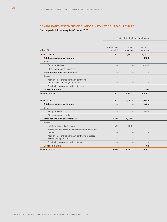# **CONSOLIDATED STATEMENT OF CHANGES IN EQUITY OF HAPAG-LLOYD AG**

**for the period 1 January to 30 June 2017**

|                                                                                   |                          | Equity attributable to shareholders |                                 |  |
|-----------------------------------------------------------------------------------|--------------------------|-------------------------------------|---------------------------------|--|
| million EUR                                                                       | Subscribed<br>capital    | Capital<br>reserves                 | Retained<br>earnings            |  |
| As at 1.1.2016                                                                    | 118.1                    | 1,263.2                             | 3,052.3                         |  |
| Total comprehensive income                                                        | $\overline{\phantom{a}}$ | $\overline{\phantom{a}}$            | $-143.9$                        |  |
| thereof                                                                           |                          |                                     |                                 |  |
| Group profit/loss                                                                 | $\overline{\phantom{m}}$ | $\overline{\phantom{a}}$            | $-143.9$                        |  |
| Other comprehensive income                                                        | $\overline{\phantom{m}}$ | $\overline{\phantom{a}}$            | $\overline{\phantom{a}}$        |  |
| <b>Transactions with shareholders</b>                                             | $\overline{\phantom{a}}$ | $\sim$                              | $\overline{\phantom{a}}$        |  |
| thereof                                                                           |                          |                                     |                                 |  |
| Acquisition of shares from non-controlling<br>interests without change of control |                          |                                     |                                 |  |
| Distribution to non-controlling interests                                         | $ \,$                    | $\hspace{0.1mm}-\hspace{0.1mm}$     | $\hspace{0.1mm}-\hspace{0.1mm}$ |  |
| Deconsolidation                                                                   | $\overline{\phantom{a}}$ | $\overline{\phantom{a}}$            | $-0.1$                          |  |
| As at 30.6.2016                                                                   | 118.1                    | 1,263.2                             | 2,908.3                         |  |
|                                                                                   |                          |                                     |                                 |  |
| As at 1.1.2017                                                                    | 118.1                    | 1,061.8                             | 3,152.9                         |  |
| Total comprehensive income                                                        | $\overline{\phantom{a}}$ | $\overline{\phantom{a}}$            | $-48.4$                         |  |
| thereof                                                                           |                          |                                     |                                 |  |
| Group profit/loss                                                                 | $\overline{\phantom{m}}$ | $\overline{\phantom{0}}$            | $-48.4$                         |  |
| Other comprehensive income                                                        | $\equiv$                 | $\overline{\phantom{a}}$            | $\hspace{0.1mm}-\hspace{0.1mm}$ |  |
| <b>Transactions with shareholders</b>                                             | 45.9                     | 1,239.4                             | $\overline{\phantom{a}}$        |  |
| thereof                                                                           |                          |                                     |                                 |  |
| First-time consolidation UASC                                                     | 45.9                     | 1,239.4                             | $\overline{\phantom{a}}$        |  |
| Anticipated acquisition of shares from non-controlling<br>interests               | $\overline{\phantom{a}}$ |                                     |                                 |  |
| Acquisition of shares from non-controlling interests<br>without change of control | $\overline{\phantom{m}}$ | $\overline{\phantom{a}}$            | $\hspace{0.1mm}-\hspace{0.1mm}$ |  |
| Distribution to non-controlling interests                                         | $\overline{\phantom{a}}$ | $\overline{\phantom{a}}$            | $\overline{\phantom{a}}$        |  |
| <b>Deconsolidation</b>                                                            | $\overline{\phantom{a}}$ | $\sim$                              | $-0.2$                          |  |
| As at 30.6.2017                                                                   | 164.0                    | 2,301.2                             | 3,104.3                         |  |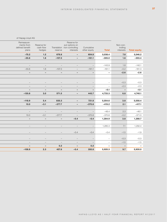|                                  |                          |                                 | Reserve for                                   |                                 |                                 | Remeasure-                      |
|----------------------------------|--------------------------|---------------------------------|-----------------------------------------------|---------------------------------|---------------------------------|---------------------------------|
| Non-con-<br>trolling             |                          | Cumulative                      | put options on<br>Translation non-controlling |                                 | Reserve for<br>cash flow        | ments from<br>defined benefit   |
| <b>Total equity</b><br>interests | <b>Total</b>             | other equity                    | interests                                     | reserve                         | hedges                          | plans                           |
| 5,046.2<br>7.8                   | 5,038.4                  | 604.8                           | $\sim$                                        | 678.8                           | 1.2                             | $-75.2$                         |
| 1.6<br>$-303.4$                  | $-305.0$                 | $-161.1$                        | $\sim$                                        | $-107.3$                        | 1.8                             | $-55.6$                         |
|                                  |                          |                                 |                                               |                                 |                                 |                                 |
| 1.8<br>$-142.1$                  | $-143.9$                 | $\hspace{0.1mm}-\hspace{0.1mm}$ | $\hspace{0.1mm}-\hspace{0.1mm}$               | $ \,$                           | $\hspace{0.1mm}-\hspace{0.1mm}$ | $\hspace{0.1mm}-\hspace{0.1mm}$ |
| $-161.3$<br>$-0.2$               | $-161.1$                 | $-161.1$                        | $\sim$                                        | $-107.3$                        | 1.8                             | $-55.6$                         |
| $-2.6$                           | $\sim$                   | $\sim$                          | $\overline{\phantom{a}}$                      | $\overline{\phantom{a}}$        | $\sim$                          | $\sim$                          |
|                                  |                          |                                 |                                               |                                 |                                 |                                 |
| $-0.3$                           | $ \,$                    |                                 | $\overline{\phantom{a}}$                      |                                 |                                 | $\overline{\phantom{m}}$        |
| $-2.3$                           | $\overline{\phantom{m}}$ | $\equiv$                        | $-$                                           | $ \,$                           | $\overline{\phantom{m}}$        | $ \,$                           |
| $\sim$                           | $-0.1$                   | $\sim$                          | $\overline{\phantom{a}}$                      | $\overline{\phantom{a}}$        | $\overline{\phantom{a}}$        | $\overline{\phantom{a}}$        |
| 6.8<br>4,740.1                   | 4,733.3                  | 443.7                           | $\sim$                                        | 571.5                           | 3.0                             | $-130.8$                        |
|                                  |                          |                                 |                                               |                                 |                                 |                                 |
| 3.8<br>5,058.4                   | 5,054.6                  | 721.8                           | $\sim$                                        | 835.3                           | 5.4                             | $-118.9$                        |
| 2.1<br>$-417.1$                  | $-419.2$                 | $-370.8$                        | $\sim$                                        | $-377.7$                        | $-3.1$                          | 10.0                            |
|                                  |                          |                                 |                                               |                                 |                                 |                                 |
| 2.3                              | $-48.4$                  | $\equiv$                        | $\equiv$                                      | $ \,$                           | $\hspace{0.1mm}-\hspace{0.1mm}$ | $\hspace{0.1mm}-\hspace{0.1mm}$ |
| $-0.2$<br>$-371.0$               | $-370.8$                 | $-370.8$                        | $\overline{\phantom{0}}$                      | $-377.7$                        | $-3.1$                          | 10.0                            |
| 1,288.7<br>3.8                   | 1,284.9                  | $-0.4$                          | $-0.4$                                        | $\sim$                          | $\overline{\phantom{a}}$        | $\sim$                          |
|                                  |                          |                                 |                                               |                                 |                                 |                                 |
| 7.1<br>1,292.4                   | 1,285.3                  | $\sim$                          | $ \,$                                         | $\overline{\phantom{a}}$        | $\hspace{0.1mm}-\hspace{0.1mm}$ | $-$                             |
| $-1.5$                           | $-0.4$                   | $-0.4$                          | $-0.4$                                        | $\hspace{0.1mm}-\hspace{0.1mm}$ |                                 | $\overline{\phantom{m}}$        |
|                                  |                          |                                 |                                               |                                 |                                 |                                 |
| $-0.3$                           | $\overline{\phantom{m}}$ | $\hspace{0.1mm}-\hspace{0.1mm}$ | $ \,$                                         | $\overline{\phantom{a}}$        | $\overline{\phantom{m}}$        | $ \,$                           |
| $-1.5$                           | $\equiv$                 | $\overline{\phantom{m}}$        | $ \,$                                         | $ \,$                           | $-$                             | $ \,$                           |
| $\sim$                           | $\sim$                   | 0.2                             | $\sim$                                        | 0.2                             | $\overline{\phantom{a}}$        | $\overline{\phantom{a}}$        |

**As at 30.6.2017 164.0 2,301.2 3,104.3 –108.9 2.3 457.8 –0.4 350.8 5,920.3 9.7 5,930.0**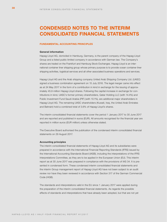# **CONDENSED NOTES TO THE INTERIM CONSOLIDATED FINANCIAL STATEMENTS**

# **FUNDAMENTAL ACCOUNTING PRINCIPLES**

## **General information**

Hapag-Lloyd AG, domiciled in Hamburg, Germany, is the parent company of the Hapag-Lloyd Group and a listed public limited company in accordance with German law. The Company's shares are traded on the Frankfurt and Hamburg Stock Exchanges. Hapag-Lloyd is an international container liner shipping group whose primary purpose is to provide ocean container liner shipping activities, logistical services and all other associated business operations and services.

Hapag-Lloyd AG and the Arab shipping company United Arab Shipping Company Ltd. (UASC) signed a business combination agreement on 15 July 2016. The legal merger came into effect as at 24 May 2017 in the form of a contribution in kind in exchange for the issuing of approximately 45.9 million Hapag-Lloyd shares. Following the capital increase in exchange for contributions in kind, UASC's former primary shareholders, Qatar Holding LLC (with 14.4%) and Public Investment Fund Saudi Arabia (PIF) (with 10.1%), are additional major shareholders in Hapag-Lloyd AG. The remaining UASC shareholders (Kuwait, Iraq, the United Arab Emirates and Bahrain) hold a combined total of 3.6% of Hapag-Lloyd's shares.

The interim consolidated financial statements cover the period 1 January 2017 to 30 June 2017 and are reported and published in euros (EUR). All amounts recognised for the financial year are reported in million euros (EUR million) unless otherwise stated.

The Executive Board authorised the publication of the condensed interim consolidated financial statements on 29 August 2017.

#### **Accounting principles**

The interim consolidated financial statements of Hapag-Lloyd AG and its subsidiaries were prepared in accordance with the International Financial Reporting Standards (IFRS) issued by the International Accounting Standards Board (IASB), including the interpretations of the IFRS Interpretations Committee, as they are to be applied in the European Union (EU). This interim report as at 30 June 2017 was prepared in compliance with the provisions of IAS 34. It is presented in condensed form. These condensed interim consolidated financial statements and the interim Group management report of Hapag-Lloyd AG have not been subject to an audit review nor have they been reviewed in accordance with Section 317 of the German Commercial Code (HGB).

The standards and interpretations valid in the EU since 1 January 2017 were applied during the preparation of the interim consolidated financial statements. As regards the possible effects of standards and interpretations that have already been adopted, but that are not yet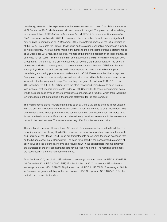mandatory, we refer to the explanations in the Notes to the consolidated financial statements as at 31 December 2016, which remain valid and have not changed. The project activities relating to implementation of IFRS 9 *Financial Instruments* and IFRS 15 *Revenue from Contracts with Customers* were continued in 2017. In this regard, there have thus far not been any significant new findings in comparison to 31 December 2016. The potential impact of the initial integration of the UASC Group into the Hapag-Lloyd Group on the existing accounting practices is currently being looked into. The statements made in the Notes to the consolidated financial statements as at 31 December 2016 regarding the likely impacts of the first-time application of these standards otherwise remain valid. This means the first-time application of IFRS 15 within the Hapag-Lloyd Group as at 1 January 2018 is still not expected to have any significant impact on the amount of revenue and when it is recognised. Likewise, the first-time application of IFRS 9 within the Hapag-Lloyd Group as at 1 January 2018 is not expected to have any significant impact on the existing accounting practices in accordance with IAS 39. Please note that the Hapag-Lloyd Group uses bunker options to hedge against fuel price risks, with only the intrinsic value being included in the hedging relationship. The resulting changes in fair value of EUR –3.6 million (31 December 2016: EUR 4.6 million) were therefore recognised immediately through profit or loss in the current financial statements under IAS 39. Under IFRS 9, these measurement gains would be recognised through other comprehensive income, as a result of which there would be lower measurement fluctuations in the income statement for the same amount.

The interim consolidated financial statements as at 30 June 2017 are to be read in conjunction with the audited and published IFRS consolidated financial statements as at 31 December 2016 and were prepared in compliance with the same accounting and measurement principles which formed the basis for these. Estimates and discretionary decisions were made in the same manner as in the previous year. The actual values may differ from the estimated values.

The functional currency of Hapag-Lloyd AG and all of its main subsidiaries is the US dollar. The reporting currency of Hapag-Lloyd AG is, however, the euro. For reporting purposes, the assets and liabilities of the Hapag-Lloyd Group are translated into euros using the mean exchange rate on the balance sheet date (closing rate). The cash flows listed in the consolidated statement of cash flows and the expenses, income and result shown in the consolidated income statement are translated at the average exchange rate for the reporting period. The resulting differences are recognised in other comprehensive income.

As at 30 June 2017, the closing US dollar/ euro exchange rate was quoted as USD 1.1405 /EUR (31 December 2016: USD 1.0560 /EUR). For the first half of 2017, the average US dollar/ euro exchange rate was USD 1.0826 /EUR (prior year period: USD 1.1127 /EUR). The average US dollar/ euro exchange rate relating to the incorporated UASC Group was USD 1.1237 /EUR for the period from the acquisition date.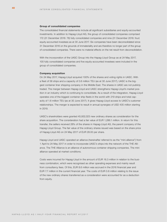#### **Group of consolidated companies**

The consolidated financial statements include all significant subsidiaries and equity-accounted investments. In addition to Hapag-Lloyd AG, the group of consolidated companies comprised 172 (31 December 2016: 78) fully consolidated companies and nine (31 December 2016: four) equity-accounted investees as at 30 June 2017. Six companies have been deconsolidated since 31 December 2016 on the grounds of immateriality and are therefore no longer part of the group of consolidated companies. There were no material effects on the net result from deconsolidation.

With the incorporation of the UASC Group into the Hapag-Lloyd Group as at 24 May 2017, 100 fully consolidated companies and five equity-accounted investees were included in the group of consolidated companies.

#### **Company acquisition**

On 24 May 2017, Hapag-Lloyd acquired 100% of the shares and voting rights in UASC. With a fleet of 58 ships and a capacity of 0.6 million TEU (as at 30 June 2017), UASC is the biggest container liner shipping company in the Middle East. The shares in UASC are not publicly traded. The merger between Hapag-Lloyd and UASC strengthens Hapag-Lloyd's market position in an industry which is continuing to consolidate. As a result of the integration, Hapag-Lloyd operates one of the biggest container ship fleets in the world with 219 ships and total capacity of 1.6 million TEU (as at 30 June 2017). It gives Hapag-Lloyd access to UASC's customer relationships. The merger is expected to result in annual synergies of USD 435 million starting in 2019.

UASC's shareholders were granted 45,932,023 new ordinary shares as consideration for the share acquisition. The consideration had a fair value of EUR 1,286.1 million. In return for this transfer, the sellers received 28% of the shares in Hapag-Lloyd AG, the parent company of the Hapag-Lloyd Group. The fair value of the ordinary shares issued was based on the share price of Hapag-Lloyd AG on 24 May 2017 of EUR 28.00 per share.

Hapag-Lloyd and UASC operated an alliance (hereinafter referred to as the "mini alliance") from 1 April to 24 May 2017 in order to incorporate UASC's ships into the network of the THE Alliance. The THE Alliance is an alliance of autonomous container shipping companies. The mini alliance operated at market conditions.

Costs were incurred for Hapag-Lloyd in the amount of EUR 16.3 million in relation to the business combination, which were recognised as other operating expenses and mainly result from consultancy fees. Of this, EUR 8.6 million was accrued in the 2016 financial year and EUR 7.7 million in the current financial year. The costs of EUR 0.8 million relating to the issue of the new ordinary shares transferred as a consideration were accounted for as a deduction from equity.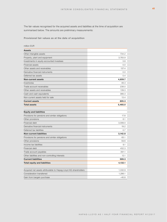The fair values recognised for the acquired assets and liabilities at the time of acquisition are summarised below. The amounts are preliminary measurements:

**Provisional fair values as at the date of acquisition**

| million EUR                                                     |         |
|-----------------------------------------------------------------|---------|
| <b>Assets</b>                                                   |         |
| Other intangible assets                                         | 734.2   |
| Property, plant and equipment                                   | 3,783.9 |
| Investments in equity-accounted investees                       | 3.8     |
| Financial assets                                                | 0.0     |
| Other assets and receivables                                    | 137.4   |
| Derivative financial instruments                                | 0.0     |
| Deferred tax assets                                             | 0.4     |
| <b>Non-current assets</b>                                       | 4,659.7 |
| Inventories                                                     | 48.3    |
| Trade account receivables                                       | 238.0   |
| Other assets and receivables                                    | 139.3   |
| Cash and cash equivalents                                       | 366.3   |
| Non-current assets held for sale                                | 13.4    |
| <b>Current assets</b>                                           | 805.3   |
| <b>Total assets</b>                                             | 5,465.0 |
|                                                                 |         |
| <b>Equity and liabilities</b>                                   |         |
| Provisions for pensions and similar obligations                 | 17.8    |
| Other provisions                                                | 6.1     |
| Financial debt                                                  | 3,099.0 |
| Derivative financial instruments                                | 19.2    |
| Deferred tax liabilities                                        | 0.7     |
| <b>Non-current liabilities</b>                                  | 3,142.8 |
| Provisions for pensions and similar obligations                 | 65.1    |
| Other provisions                                                | 59.6    |
| Income tax liabilities                                          | 9.1     |
| Financial debt                                                  | 452.3   |
| Trade account payables                                          | 391.1   |
| Other liabilities and non-controlling interests                 | 12.1    |
| <b>Current liabilities</b>                                      | 989.3   |
| <b>Total equity and liabilities</b>                             | 4,132.1 |
|                                                                 |         |
| Acquired net assets attributable to Hapag-Lloyd AG shareholders | 1,332.9 |
| Consideration transferred                                       | 1,286.1 |
| Gain from bargain purchase                                      | $-46.8$ |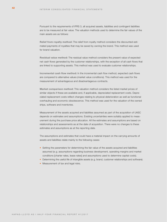Pursuant to the requirements of IFRS 3, all acquired assets, liabilities and contingent liabilities are to be measured at fair value. The valuation methods used to determine the fair values of the main assets are as follows:

**Relief from royalty method:** The relief from royalty method considers the discounted estimated payments of royalties that may be saved by owning the brand. This method was used for brand valuation.

**Residual value method:** The residual value method considers the present value of expected net cash flows generated by the customer relationships, with the exception of all cash flows that are linked to supporting assets. This method was used to evaluate customer relationships.

**Incremental cash flow method:** In the incremental cash flow method, expected cash flows are compared to alternative values (market value conditions). This method was used for the measurement of advantageous and disadvantageous contracts.

**Market comparison method:** This valuation method considers the listed market prices of similar objects if these are available and, if applicable, depreciated replacement costs. Depreciated replacement costs reflect changes relating to physical deterioration as well as functional overhauling and economic obsolescence. This method was used for the valuation of the owned ships, software and inventories.

Measurement of the assets acquired and liabilities assumed as part of the acquisition of UASC depends on estimates and assumptions. Existing uncertainties were suitably applied to measurement during the purchase price allocation. All the estimates and assumptions are based on relationships and assessments as at the date of acquisition. There were no changes to these estimates and assumptions as at the reporting date.

The assumptions and estimates that could have a material impact on the carrying amounts of assets and liabilities relate mainly to the following cases:

- Setting the parameters for determining the fair value of the assets acquired and liabilities assumed (e. g. assumptions regarding business development, operating margins and market conditions [charter rates, lease rates] and assumptions used to determine capital costs).
- Determining the useful life of intangible assets (e.g. brand, customer relationships and software).
- Measurement of tax and legal risks.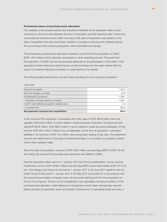#### **Provisional nature of purchase price allocation**

The valuation of all acquired assets and transferred liabilities at the acquisition date is provisional due to the short time between the time of acquisition and the reporting date. If facts and circumstances become known within one year of the date of acquisition that existed on the date of acquisition and that would have resulted in changes to the amounts indicated above, the accounting of the company acquisition will be amended accordingly.

The provisional purchase price allocation resulted in a profit from the acquisition of UASC (EUR –46.8 million) which had been recognised in other operating income. The profit from the acquisition of UASC can be economically attributed to the participation of the seller in the expected positive share price performance, as the purchaser and the seller believe that the equity of container shipping companies is undervalued by the market.

The following table presents the net cash inflow resulting from the company acquisition:

#### million EUR

| Acquired net assets                              | 1,332.9 |
|--------------------------------------------------|---------|
| Gain from bargain purchase                       | $-46.8$ |
| Consideration transferred                        | 1.286.1 |
| - Acquisition through issuance of shares         | 1,286.1 |
| In 2017 cash-effective acquisition-related costs | 2.3     |
| + Acquired cash                                  | 366.3   |
| Net payments received from acquisitions          | 364.0   |

In the course of the acquisition, receivables with a fair value of EUR 490.6 million were recognised, EUR 238.0 million of which related to trade accounts receivable. The gross amount was EUR 520.6 million, EUR 268.0 million of which related to trade accounts receivable. Of this amount, EUR 30.0 million is likely to be uncollectable. At the time of acquisition, contingent liabilities in the amount of EUR 15.2 million were recognised relating to tax risks. The settlement amount was determined on the basis of internal estimates. It is currently not possible to determine a fixed utilisation date.

Since the date of acquisition, revenue of EUR 199.0 million and earnings (EBIT) of EUR 4.8 million taking into account the purchase price allocation are related to UASC.

Had the acquisition taken place on 1 January 2017 (pro forma consideration), Group revenue would have come to EUR 5,638.4 million and earnings (EBIT) would have totalled EUR 131.5 million. The Hapag-Lloyd Group for the period 1 January 2017 to 30 June 2017 together with the UASC Group for the period 1 January 2017 to 24 May 2017, accounted for in accordance with the accounting principles of Hapag-Lloyd, served as the starting point for the preparation of the pro forma figures. The pro forma consideration was calculated including the effects of the purchase price allocation, while effects from transactions which were contractually required before the time of acquisition were not included. Furthermore, in calculating these amounts, it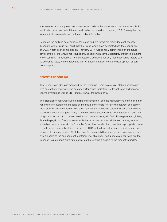was assumed that the provisional adjustments made to the fair values at the time of acquisition would also have been valid if the acquisition had occurred on 1 January 2017. The required pro forma adjustments are based on the available information.

Based on the outlined assumptions, the presented pro forma net result does not necessarily equate to the Group net result that the Group would have generated had the acquisition of UASC in fact been completed on 1 January 2017. Additionally, commenting on the future development of the Group net result is only possible with some uncertainty. Influencing factors which can result in deviations from expectations comprise not only macroeconomic factors such as exchange rates, interest rates and bunker prices, but also the future development of container shipping.

# **SEGMENT REPORTING**

The Hapag-Lloyd Group is managed by the Executive Board as a single, global business unit with one sphere of activity. The primary performance indicators are freight rates and transport volume by trade as well as EBIT and EBITDA at the Group level.

The allocation of resources (use of ships and containers) and the management of the sales market and of key customers are done on the basis of the entire liner service network and deployment of all the maritime assets. The Group generates its revenue solely through its activities as a container liner shipping company. The revenue comprises income from transporting and handling containers and from related services and commissions, all of which are generated globally. As the Hapag-Lloyd Group operates with the same product around the world throughout its entire liner service network, the Executive Board has decided that there is no appropriate measure with which assets, liabilities, EBIT and EBITDA as the key performance indicators can be allocated to different trades. All of the Group's assets, liabilities, income and expenses are thus only allocable to the one segment, container liner shipping. The figures given per trade are the transport volume and freight rate, as well as the revenue allocable to the respective trades.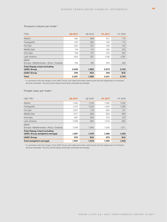# **Transport volume per trade \***

| <b>TTEU</b>                                             | Q2 2017 | Q2 2016 | H <sub>1</sub> 2017 | H1 2016 |
|---------------------------------------------------------|---------|---------|---------------------|---------|
| Atlantic                                                | 422     | 398     | 811                 | 774     |
| Transpacific                                            | 374     | 365     | 760                 | 712     |
| Far East                                                | 234     | 201     | 449                 | 412     |
| Middle East                                             | 119     | 114     | 242                 | 223     |
| Intra-Asia                                              | 158     | 157     | 310                 | 287     |
| Latin America                                           | 604     | 551     | 1,156               | 1,087   |
| <b>EMAO</b><br>(Europe-Mediterranean-Africa-Oceania)    | 128     | 106     | 245                 | 208     |
| <b>Total Hapag-Lloyd excluding</b><br><b>UASC Group</b> | 2,039   | 1,892   | 3,973               | 3,703   |
| <b>UASC Group</b>                                       | 248     | N/A     | 248                 | N/A     |
| <b>Total</b>                                            | 2,287   | 1,892   | 4,221               | 3,703   |

\* In connection with the merger of the UASC Group, the trades have been restructured and the assignment of individual services amended. The prior period figures have been amended accordingly.

# **Freight rates per trade \***

| USD/TEU                                                                    | Q2 2017 | Q2 2016 | H <sub>1</sub> 2017 | H1 2016 |
|----------------------------------------------------------------------------|---------|---------|---------------------|---------|
| Atlantic                                                                   | 1,292   | 1,319   | 1,293               | 1,350   |
| Transpacific                                                               | 1,272   | 1,223   | 1,245               | 1,285   |
| Far East                                                                   | 1,007   | 719     | 955                 | 757     |
| Middle East                                                                | 1,017   | 689     | 902                 | 695     |
| Intra-Asia                                                                 | 607     | 563     | 573                 | 570     |
| Latin America                                                              | 1,008   | 965     | 1,012               | 963     |
| <b>EMAO</b><br>(Europe-Mediterranean-Africa-Oceania)                       | 1.048   | 1,064   | 1,030               | 1,071   |
| <b>Total Hapag-Lloyd excluding</b><br><b>UASC Group (weighted average)</b> | 1,087   | 1,019   | 1,068               | 1,042   |
| <b>UASC Group</b>                                                          | 870     | N/A     | 870                 | N/A     |
| Total (weighted average)                                                   | 1,064   | 1,019   | 1,056               | 1,042   |

\* In connection with the merger of the UASC Group, the trades have been restructured and the assignment of individual services amended. The prior period figures have been amended accordingly.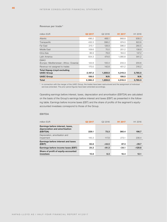| <b>Total</b>                                            | 2,386.2 | 1,859.8 | 4,518.3             | 3,785.5 |
|---------------------------------------------------------|---------|---------|---------------------|---------|
| <b>UASC Group</b>                                       | 199.0   | N/A     | 199.0               | N/A     |
| <b>Total Hapag-Lloyd excluding</b><br><b>UASC Group</b> | 2,187.2 | 1,859.8 | 4,319.3             | 3,785.5 |
| Revenue not assigned to trades                          | 170.0   | 142.8   | 401.2               | 316.2   |
| <b>EMAO</b><br>(Europe-Mediterranean-Africa-Oceania)    | 122.8   | 100.4   | 233.3               | 200.6   |
| Latin America                                           | 554.3   | 474.6   | 1,080.8             | 941.2   |
| Intra-Asia                                              | 86.9    | 78.8    | 164.0               | 147.2   |
| Middle East                                             | 109.6   | 70.0    | 201.2               | 138.9   |
| Far East                                                | 215.1   | 128.9   | 396.0               | 280.5   |
| Transpacific                                            | 432.3   | 398.2   | 874.0               | 822.6   |
| Atlantic                                                | 496.2   | 466.1   | 968.8               | 938.3   |
| million EUR                                             | Q2 2017 | Q2 2016 | H <sub>1</sub> 2017 | H1 2016 |

## **Revenue per trade \***

\* In connection with the merger of the UASC Group, the trades have been restructured and the assignment of individual services amended. The prior period figures have been amended accordingly.

Operating earnings before interest, taxes, depreciation and amortisation (EBITDA) are calculated on the basis of the Group's earnings before interest and taxes (EBIT) as presented in the following table. Earnings before income taxes (EBT) and the share of profits of the segment's equityaccounted investees correspond to those of the Group.

# **EBITDA**

| million EUR                                                                   | Q <sub>2</sub> 2017 | Q2 2016 | H <sub>1</sub> 2017 | H1 2016  |
|-------------------------------------------------------------------------------|---------------------|---------|---------------------|----------|
| Earnings before interest, taxes,<br>depreciation and amortisation<br>(EBITDA) | 229.1               | 73.3    | 360.4               | 196.7    |
| Depreciation, amortisation and<br>impairment                                  | 145.3               | 117.8   | 273.1               | 236.4    |
| Earnings before interest and taxes<br>(EBIT)                                  | 83.8                | $-44.5$ | 87.3                | $-39.7$  |
| Earnings before income taxes (EBT)                                            | 24.2                | $-91.3$ | $-34.1$             | $-129.6$ |
| Share of profit of equity-accounted<br>investees                              | 10.8                | 6.3     | 18.4                | 12.1     |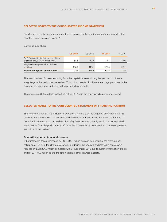# **SELECTED NOTES TO THE CONSOLIDATED INCOME STATEMENT**

Detailed notes to the income statement are contained in the interim management report in the chapter "Group earnings position".

**Earnings per share**

|                                                                              | Q <sub>2</sub> 2017 | Q <sub>2</sub> 2016 | H <sub>1</sub> 2017 | H <sub>1</sub> 2016 |
|------------------------------------------------------------------------------|---------------------|---------------------|---------------------|---------------------|
| Profit/loss attributable to shareholders<br>of Hapag-Lloyd AG in million EUR | 14.4                | $-99.9$             | $-48.4$             | $-143.9$            |
| Weighted average number of shares<br>in million                              | 137.0               | 118.1               | 127.5               | 118.1               |
| Basic earnings per share in EUR                                              | 0.11                | $-0.85$             | $-0.38$             | $-1.22$             |

The new number of shares resulting from the capital increase during the year led to different weightings in the periods under review. This in turn resulted in different earnings per share in the two quarters compared with the half-year period as a whole.

There were no dilutive effects in the first half of 2017 or in the corresponding prior year period.

# **SELECTED NOTES TO THE CONSOLIDATED STATEMENT OF FINANCIAL POSITION**

The inclusion of UASC in the Hapag-Lloyd Group means that the acquired container shipping activities were included in the consolidated statement of financial position as at 30 June 2017 from the first-time consolidation date of 24 May 2017. As such, the figures in the consolidated statement of financial position as at 30 June 2017 can only be compared with those of previous years to a limited extent.

# **Goodwill and other intangible assets**

Other intangible assets increased by EUR 734.2 million primarily as a result of the first-time consolidation of UASC in the Group as a whole. In addition, the goodwill and intangible assets were reduced by EUR 234.3 million compared with 31 December 2016 due to currency translation effects and by EUR 41.0 million due to the amortisation of other intangible assets.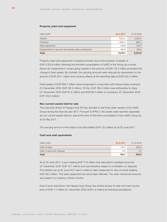#### **Property, plant and equipment**

| million EUR                                          | 30.6.2017 | 31.12.2016 |
|------------------------------------------------------|-----------|------------|
| Vessels                                              | 7.522.2   | 5,024.5    |
| Container                                            | 1.660.4   | 998.3      |
| Other equipment                                      | 149.6     | 132.0      |
| Prepayments on account and assets under construction | 186.9     | 160.8      |
| <b>Total</b>                                         | 9,519.1   | 6,315.6    |

Property, plant and equipment increased primarily due to the inclusion of assets of EUR 3,783.9 million following the first-time consolidation of UASC in the Group as a whole. Above all, investments in ocean-going vessels in the amount of EUR 178.3 million prompted the change in fixed assets. By contrast, the carrying amounts were reduced by depreciation in the amount of EUR 232.1 million and currency effects at the reporting date of EUR 530.3 million.

Fixed assets of EUR 269.7 million were recognised in conjunction with finance lease contracts (31 December 2016: EUR 181.6 million). Of this, EUR 180.4 million was attributable to ships (31 December 2016: EUR 81.2 million) and EUR 89.3 million to containers (31 December 2016: EUR 100.4 million).

# **Non-current assets held for sale**

The Executive Board of Hapag-Lloyd AG has decided to sell three older vessels of the UASC Group during the financial year 2017. Pursuant to IFRS 5, the assets were reported separately as non-current assets held for sale at the time of first-time consolidation of the UASC Group as at 24 May 2017.

The carrying amount of the ships to be sold totalled EUR 13.2 million as at 30 June 2017.

#### **Cash and cash equivalents**

| million EUR              | 30.6.2017 | 31.12.2016 |
|--------------------------|-----------|------------|
| Cash at bank             | 747.5     | 565.9      |
| Cash in hand and cheques | 6.2       | 4.3        |
| <b>Total</b>             | 753.7     | 570.2      |

As at 30 June 2017, a sum totalling EUR 77.8 million was deposited in pledged accounts (31 December 2016: EUR 12.7 million) and was therefore subject to a limitation on disposal. The intention as at 30 June 2017 was to make an early repayment to free up funds totalling EUR 58.5 million. This early repayment has since been effected. The other mentioned amounts are subject to a maturity of three months.

Due to local restrictions, the Hapag-Lloyd Group has limited access to cash and cash equivalents of EUR 1.4 million (31 December 2016: EUR 3.9 million) at individual subsidiaries.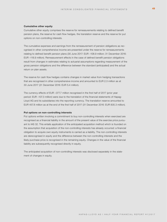#### **Cumulative other equity**

Cumulative other equity comprises the reserve for remeasurements relating to defined benefit pension plans, the reserve for cash flow hedges, the translation reserve and the reserve for put options on non-controlling interests.

The cumulative expenses and earnings from the remeasurement of pension obligations as recognised in other comprehensive income are presented under the reserve for remeasurements relating to defined benefit pension plans (30 June 2017: EUR –108.9 million; 31 December 2016: EUR –118.9 million). Remeasurement effects in the case of defined benefit pension obligations result from changes in estimates relating to actuarial assumptions regarding measurement of the gross pension obligations and the difference between the standard (anticipated) and the actual return on plan assets.

The reserve for cash flow hedges contains changes in market value from hedging transactions that are recognised in other comprehensive income and amounted to EUR 2.3 million as at 30 June 2017 (31 December 2016: EUR 5.4 million).

The currency effects of EUR –377.7 million recognised in the first half of 2017 (prior year period: EUR –107.3 million) were due to the translation of the financial statements of Hapag-Lloyd AG and its subsidiaries into the reporting currency. The translation reserve amounted to EUR 457.8 million as at the end of the first half of 2017 (31 December 2016: EUR 835.3 million).

## **Put options on non-controlling interests**

Put options written involving a commitment to buy non-controlling interests when exercised are recognised as a financial liability in the amount of the present value of the exercise price pursuant to IAS 32. This entails application of the anticipated acquisition method which is founded on the assumption that acquisition of the non-controlling interests has already occurred: a financial obligation to acquire own equity instruments is carried as a liability. The non-controlling interests are derecognised in equity and the difference between the non-controlling interests and the likely purchase price is recognised in the remaining equity. Changes in the value of the financial liability are subsequently recognised directly in equity.

The anticipated acquisition of non-controlling interests was disclosed separately in the statement of changes in equity.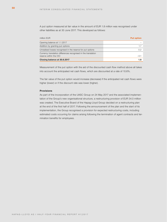A put option measured at fair value in the amount of EUR 1.8 million was recognised under other liabilities as at 30 June 2017. This developed as follows:

| million EUR                                                                              | <b>Put option</b> |
|------------------------------------------------------------------------------------------|-------------------|
| Opening balance at 1.1.2017                                                              |                   |
| Addition by granting put options                                                         | 1.7               |
| Unrealised losses recognised in the reserve for put options                              | 0.2               |
| Currency translation differences recognised in the translation<br>reserve within the OCI | $-0.1$            |
| Closing balance at 30.6.2017                                                             | 1.8               |

Measurement of the put option with the aid of the discounted cash flow method above all takes into account the anticipated net cash flows, which are discounted at a rate of 10.6%.

The fair value of the put option would increase (decrease) if the anticipated net cash flows were higher (lower) or if the discount rate was lower (higher).

# **Provisions**

As part of the incorporation of the UASC Group on 24 May 2017 and the associated implementation of the Group's new organisational structure, a restructuring provision of EUR 34.0 million was created. The Executive Board of the Hapag-Lloyd Group decided on a restructuring plan at the end of the first half of 2017. Following the announcement of the plan and the start of its implementation, the Group recognised a provision for expected restructuring costs, including estimated costs occurring for claims arising following the termination of agent contracts and termination benefits for employees.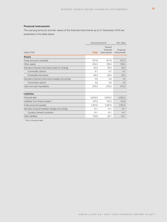# **Financial instruments**

The carrying amounts and fair values of the financial instruments as at 31 December 2016 are presented in the table below.

| Carrying amount |                                     | Fair value               |
|-----------------|-------------------------------------|--------------------------|
| <b>Total</b>    | thereof<br>financial<br>instruments | Financial<br>instruments |
|                 |                                     |                          |
| 677.6           | 677.6                               | 677.6                    |
| 224.5           | 126.2                               | 126.2                    |
| 33.0            | 33.0                                | 33.0                     |
| 6.7             | 6.7                                 | 6.7                      |
| 26.3            | 26.3                                | 26.3                     |
| 4.6             | 4.6                                 | 4.6                      |
| 4.6             | 4.6                                 | 4.6                      |
| 570.2           | 570.2                               | 570.2                    |
|                 |                                     |                          |
| 4,043.5         | 4,043.5                             | 4,082.2                  |
| 137.2           | 137.2                               | 143.6                    |
| 1,281.6         | 1,281.6                             | 1,281.6                  |
| 41.1            | 41.1                                | 41.1                     |
| 41.1            | 41.1                                | 41.1                     |
| 179.9           | 50.7                                | 50.7                     |
|                 |                                     |                          |

\* Part of financial debt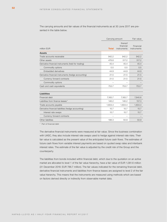The carrying amounts and fair values of the financial instruments as at 30 June 2017 are presented in the table below.

|                                                     |              | Carrying amount                     |                          |
|-----------------------------------------------------|--------------|-------------------------------------|--------------------------|
| million EUR                                         | <b>Total</b> | thereof<br>financial<br>instruments | Financial<br>instruments |
| <b>Assets</b>                                       |              |                                     |                          |
| Trade accounts receivable                           | 942.2        | 942.2                               | 942.2                    |
| Other assets                                        | 478.8        | 317.2                               | 317.2                    |
| Derivative financial instruments (held for trading) | 45.4         | 45.4                                | 45.4                     |
| Commodity options                                   | 0.5          | 0.5                                 | 0.5                      |
| Embedded derivatives                                | 44.9         | 44.9                                | 44.9                     |
| Derivative financial instruments (hedge accounting) | 21.5         | 21.5                                | 21.5                     |
| Currency forward contracts                          | 21.5         | 21.5                                | 21.5                     |
| Commodity options                                   |              |                                     |                          |
| Cash and cash equivalents                           | 753.7        | 753.7                               | 753.7                    |
| <b>Liabilities</b>                                  |              |                                     |                          |
| Financial debt                                      | 7,165.7      | 7,165.7                             | 7,840.6                  |
| Liabilities from finance leases*                    | 146.2        | 146.2                               | 157.3                    |
| Trade accounts payable                              | 1,604.4      | 1,604.4                             | 1,604.4                  |
| Derivative financial liabilities (hedge accounting) | 15.7         | 15.7                                | 15.7                     |
| Interest rate swaps                                 | 15.7         | 15.7                                | 15.7                     |
| Currency forward contracts                          |              |                                     |                          |
| Other liabilities                                   | 198.3        | 50.9                                | 50.9                     |

\* Part of financial debt

The derivative financial instruments were measured at fair value. Since the business combination with UASC, they also include interest rate swaps used to hedge against interest rate risks. Their fair value is calculated as the present value of the anticipated future cash flows. The estimates of future cash flows from variable interest payments are based on quoted swap rates and interbank interest rates. The estimate of the fair value is adjusted by the credit risk of the Group and the counterparty.

The liabilities from bonds included within financial debt, which due to the quotation on an active market are allocated to level 1 of the fair value hierarchy, have a fair value of EUR 1,081.6 million (31 December 2016: EUR 786.7 million). The fair values indicated for the remaining financial debt, derivative financial instruments and liabilities from finance leases are assigned to level 2 of the fair value hierarchy. This means that the instruments are measured using methods which are based on factors derived directly or indirectly from observable market data.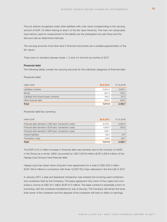The put options recognised under other liabilities with a fair value corresponding to the carrying amount of EUR 1.8 million belong to level 3 of the fair value hierarchy. The main non-observable input factors used for measurement of the liability are the anticipated net cash flows and the discount rate as determined internally.

The carrying amounts of all other level 2 financial instruments are a suitable approximation of the fair values.

There were no transfers between levels 1, 2 and 3 in the first six months of 2017.

# **Financial debt**

The following tables contain the carrying amounts for the individual categories of financial debt.

**Financial debt**

| million EUR                              | 30.6.2017 | 31.12.2016 |
|------------------------------------------|-----------|------------|
| Liabilities to banks                     | 5.851.9   | 3,050.1    |
| <b>Bonds</b>                             | 927.2     | 785.2      |
| Liabilities from finance lease contracts | 146.2     | 137.2      |
| Other financial debt                     | 386.6     | 208.2      |
| <b>Total</b>                             | 7,311.9   | 4,180.7    |

# **Financial debt by currency**

| million EUR                                             | 30.6.2017 | 31.12.2016 |
|---------------------------------------------------------|-----------|------------|
| Financial debt denoted in USD (excl. transaction costs) | 6.019.1   | 3,394.0    |
| Financial debt denoted in EUR (excl. transaction costs) | 1.087.0   | 819.0      |
| Financial debt denoted in SAR (excl. transaction costs) | 228.1     |            |
| Interest liabilities                                    | 36.3      | 37.4       |
| <b>Transaction costs</b>                                | $-58.6$   | $-69.7$    |
| Total                                                   | 7.311.9   | 4.180.7    |

The EUR 3,131.2 million increase in financial debt was primarily due to the inclusion of UASC in the Group as a whole. UASC accounted for USD 3,910.6 million (EUR 3,428.9 million) of the Hapag-Lloyd Group's total financial debt.

Hapag-Lloyd has drawn down long-term loan agreements for a total of USD 223.4 million (EUR 195.9 million) in connection with three 10,500 TEU ships delivered in the first half of 2017.

In January 2017, a sale and leaseback transaction was entered into involving used containers and containers held by the Company. The lease agreement has a term of four years and comprises a volume of USD 44.1 million (EUR 41.3 million). The lease contract is essentially a form of borrowing, with the containers transferred by way of security. The Company will remain the beneficial owner of the containers and the disposal of the containers will have no effect on earnings.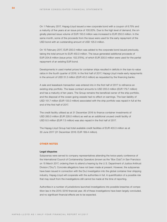On 1 February 2017, Hapag-Lloyd issued a new corporate bond with a coupon of 6.75% and a maturity of five years at an issue price of 100.00%. Due to the high level of demand, the originally planned issue volume of EUR 150.0 million was increased to EUR 250.0 million. In the same month, some of the proceeds from the issue were used for the early repayment of the USD bond with an outstanding amount of USD 125.0 million.

On 15 February 2017, EUR 200.0 million was added to the corporate bond issued previously, taking the total amount to EUR 450.0 million. The issue generated additional proceeds of EUR 204.8 million (issue price: 102.375%), of which EUR 200.0 million were used for the partial repayment of an existing EUR bond.

Developments in used market prices for container ships resulted in deficits in the loan-to-value ratios in the fourth quarter of 2016. In the first half of 2017, Hapag-Lloyd made early repayments in the amount of USD 51.3 million (EUR 45.0 million) as requested by the financing banks.

A sale and leaseback transaction was entered into in the first half of 2017 to refinance an existing ship portfolio. The lease contract amounts to USD 205.0 million (EUR 179.7 million) and has a maturity of ten years. The Group remains the beneficial owner of the ship portfolio, and the disposal of the ocean-going vessels had no effect on earnings. The loan liability of USD 151.7 million (EUR 133.0 million) associated with the ship portfolio was repaid in full at the end of the first half of 2017.

The credit facility utilised as at 31 December 2016 to finance container investments of USD 260.0 million (EUR 228.0 million) as well as an additional unused credit facility of USD 8.5 million (EUR 7.5 million) was also repaid in the first half of 2017.

The Hapag-Lloyd Group had total available credit facilities of EUR 403.3 million as at 30 June 2017 (31 December 2016: EUR 189.4 million).

# **OTHER NOTES**

#### **Legal disputes**

Subpoenas were served to company representatives attending the twice-yearly conference of the International Council of Containership Operators (known as the "Box Club") in San Francisco on 15 March 2017, ordering them to attend a hearing by the U.S. Department of Justice Antitrust Division ("DoJ"). Concrete allegations have not been made at present. However, the subpoenas have been issued in connection with the DoJ investigation into the global container liner shipping industry. Hapag-Lloyd will cooperate with the authorities in full. A quantification of a possible risk that may result from the investigations still cannot be made at the time of reporting.

Authorities in a number of jurisdictions launched investigations into possible breaches of competition law in the 2015 / 2016 financial year. All of these investigations have been largely concluded, and no significant financial effects are to be expected.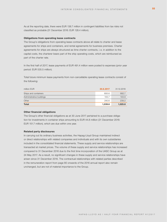As at the reporting date, there were EUR 138.7 million in contingent liabilities from tax risks not classified as probable (31 December 2016: EUR 128.4 million).

# **Obligations from operating lease contracts**

The Group's obligations from operating lease contracts above all relate to charter and lease agreements for ships and containers, and rental agreements for business premises. Charter agreements for ships are always structured as time charter contracts, i. e. in addition to the capital costs, the charterer bears part of the ship operating costs, which are reimbursed as part of the charter rate.

In the first half of 2017, lease payments of EUR 491.4 million were posted to expenses (prior year period: EUR 535.5 million).

Total future minimum lease payments from non-cancellable operating lease contracts consist of the following:

| million EUR              | 30.6.2017 | 31.12.2016 |
|--------------------------|-----------|------------|
| Ships and containers     | 693.6     | 682.7      |
| Administrative buildings | 105.7     | 103.9      |
| Other                    | 240.6     | 239.2      |
| <b>Total</b>             | 1,039.6   | 1,025.8    |

# **Other financial obligations**

The Group's other financial obligations as at 30 June 2017 pertained to a purchase obligation for investments in container ships amounting to EUR 44.8 million (31 December 2016: EUR 151.7 million), which are due within one year.

#### **Related party disclosures**

In carrying out its ordinary business activities, the Hapag-Lloyd Group maintained indirect or direct relationships with related companies and individuals and with its own subsidiaries included in the consolidated financial statements. These supply and service relationships are transacted at market prices. The volume of these supply and service relationships has increased compared to 31 December 2016 due to the first time incorporation of the UASC Group as at 24 May 2017. As a result, no significant changes in these supply and service relationships have arisen since 31 December 2016. The contractual relationships with related parties described in the remuneration report from page 80 onwards of the 2016 annual report also remain unchanged, but are not of material importance to the Group.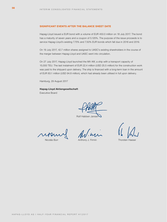# **SIGNIFICANT EVENTS AFTER THE BALANCE SHEET DATE**

Hapag-Lloyd issued a EUR bond with a volume of EUR 450.0 million on 18 July 2017. The bond has a maturity of seven years and a coupon of 5.125%. The purpose of the issue proceeds is to service Hapag-Lloyd's existing 7.75% and 7.50% EUR bonds which fall due in 2018 and 2019.

On 19 July 2017, 42.7 million shares assigned to UASC's existing shareholders in the course of the merger between Hapag-Lloyd and UASC went into circulation.

On 27 July 2017, Hapag-Lloyd launched the MV Afif, a ship with a transport capacity of 15,000 TEU. The last instalment of EUR 22.4 million (USD 25.5 million) for the construction work was paid to the shipyard upon delivery. The ship is financed with a long-term loan in the amount of EUR 83.1 million (USD 94.8 million), which had already been utilised in full upon delivery.

Hamburg, 29 August 2017

**Hapag-Lloyd Aktiengesellschaft** Executive Board

Rolf Habben Jansen

Nicolás Burr **Anthony J. Firmin** Thorsten Haeser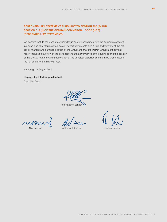# **RESPONSIBILITY STATEMENT PURSUANT TO SECTION 297 (2) AND SECTION 315 (1) OF THE GERMAN COMMERCIAL CODE (HGB) (RESPONSIBILITY STATEMENT)**

We confirm that, to the best of our knowledge and in accordance with the applicable accounting principles, the interim consolidated financial statements give a true and fair view of the net asset, financial and earnings position of the Group and that the interim Group management report includes a fair view of the development and performance of the business and the position of the Group, together with a description of the principal opportunities and risks that it faces in the remainder of the financial year.

Hamburg, 29 August 2017

# **Hapag-Lloyd Aktiengesellschaft**

Executive Board

Rolf Habben Jansen

Nicolás Burr **Anthony J. Firmin** Thorsten Haeser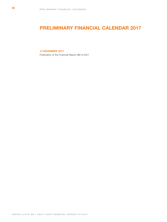# **PRELIMINARY FINANCIAL CALENDAR 2017**

# **14 NOVEMBER 2017**

Publication of the Financial Report 9M of 2017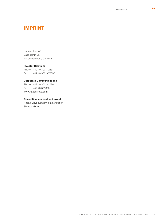# **IMPRINT**

Hapag-Lloyd AG Ballindamm 25 20095 Hamburg, Germany

# **Investor Relations**

Phone: +49 40 3001 - 2334 Fax: +49 40 3001 - 72896

# **Corporate Communications**

Phone: +49 40 3001 - 2529 Fax: +49 40 335360 www.hapag-lloyd.com

# **Consulting, concept and layout**

Hapag-Lloyd Konzernkommunikation Silvester Group